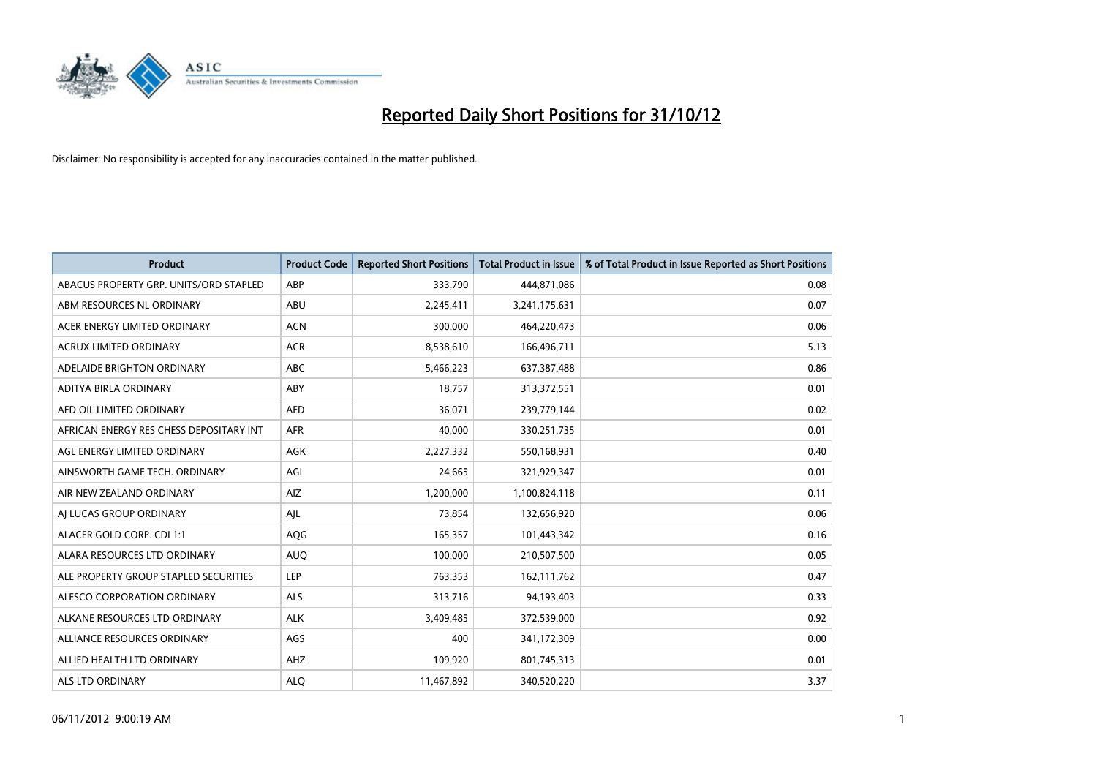

| <b>Product</b>                          | <b>Product Code</b> | <b>Reported Short Positions</b> | <b>Total Product in Issue</b> | % of Total Product in Issue Reported as Short Positions |
|-----------------------------------------|---------------------|---------------------------------|-------------------------------|---------------------------------------------------------|
| ABACUS PROPERTY GRP. UNITS/ORD STAPLED  | ABP                 | 333,790                         | 444,871,086                   | 0.08                                                    |
| ABM RESOURCES NL ORDINARY               | ABU                 | 2,245,411                       | 3,241,175,631                 | 0.07                                                    |
| ACER ENERGY LIMITED ORDINARY            | <b>ACN</b>          | 300,000                         | 464,220,473                   | 0.06                                                    |
| ACRUX LIMITED ORDINARY                  | <b>ACR</b>          | 8,538,610                       | 166,496,711                   | 5.13                                                    |
| ADELAIDE BRIGHTON ORDINARY              | <b>ABC</b>          | 5,466,223                       | 637, 387, 488                 | 0.86                                                    |
| ADITYA BIRLA ORDINARY                   | ABY                 | 18,757                          | 313,372,551                   | 0.01                                                    |
| AED OIL LIMITED ORDINARY                | <b>AED</b>          | 36,071                          | 239,779,144                   | 0.02                                                    |
| AFRICAN ENERGY RES CHESS DEPOSITARY INT | <b>AFR</b>          | 40.000                          | 330,251,735                   | 0.01                                                    |
| AGL ENERGY LIMITED ORDINARY             | AGK                 | 2,227,332                       | 550,168,931                   | 0.40                                                    |
| AINSWORTH GAME TECH. ORDINARY           | AGI                 | 24,665                          | 321,929,347                   | 0.01                                                    |
| AIR NEW ZEALAND ORDINARY                | AIZ                 | 1,200,000                       | 1,100,824,118                 | 0.11                                                    |
| AI LUCAS GROUP ORDINARY                 | AJL                 | 73,854                          | 132,656,920                   | 0.06                                                    |
| ALACER GOLD CORP. CDI 1:1               | AQG                 | 165,357                         | 101,443,342                   | 0.16                                                    |
| ALARA RESOURCES LTD ORDINARY            | <b>AUQ</b>          | 100,000                         | 210,507,500                   | 0.05                                                    |
| ALE PROPERTY GROUP STAPLED SECURITIES   | LEP                 | 763,353                         | 162,111,762                   | 0.47                                                    |
| ALESCO CORPORATION ORDINARY             | <b>ALS</b>          | 313,716                         | 94,193,403                    | 0.33                                                    |
| ALKANE RESOURCES LTD ORDINARY           | <b>ALK</b>          | 3,409,485                       | 372,539,000                   | 0.92                                                    |
| ALLIANCE RESOURCES ORDINARY             | <b>AGS</b>          | 400                             | 341,172,309                   | 0.00                                                    |
| ALLIED HEALTH LTD ORDINARY              | AHZ                 | 109,920                         | 801,745,313                   | 0.01                                                    |
| ALS LTD ORDINARY                        | <b>ALO</b>          | 11,467,892                      | 340.520.220                   | 3.37                                                    |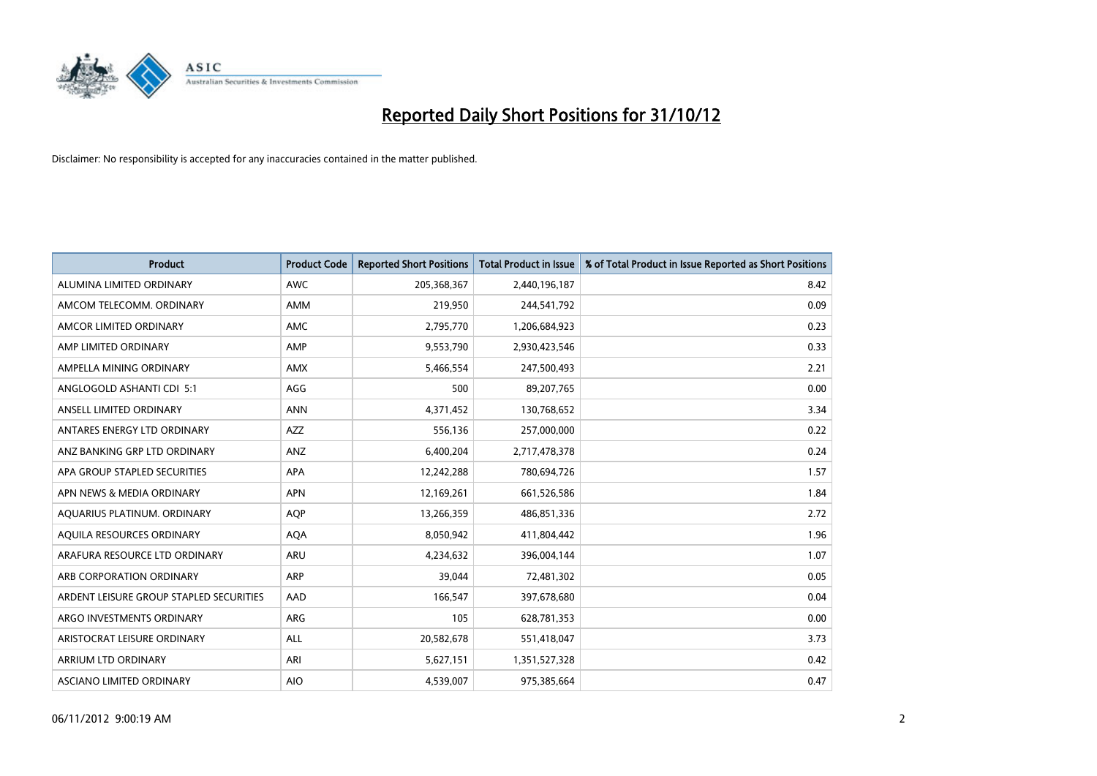

| <b>Product</b>                          | <b>Product Code</b> | <b>Reported Short Positions</b> | <b>Total Product in Issue</b> | % of Total Product in Issue Reported as Short Positions |
|-----------------------------------------|---------------------|---------------------------------|-------------------------------|---------------------------------------------------------|
| ALUMINA LIMITED ORDINARY                | <b>AWC</b>          | 205,368,367                     | 2,440,196,187                 | 8.42                                                    |
| AMCOM TELECOMM. ORDINARY                | <b>AMM</b>          | 219,950                         | 244,541,792                   | 0.09                                                    |
| AMCOR LIMITED ORDINARY                  | AMC                 | 2,795,770                       | 1,206,684,923                 | 0.23                                                    |
| AMP LIMITED ORDINARY                    | AMP                 | 9,553,790                       | 2,930,423,546                 | 0.33                                                    |
| AMPELLA MINING ORDINARY                 | <b>AMX</b>          | 5,466,554                       | 247,500,493                   | 2.21                                                    |
| ANGLOGOLD ASHANTI CDI 5:1               | AGG                 | 500                             | 89,207,765                    | 0.00                                                    |
| ANSELL LIMITED ORDINARY                 | <b>ANN</b>          | 4,371,452                       | 130,768,652                   | 3.34                                                    |
| ANTARES ENERGY LTD ORDINARY             | <b>AZZ</b>          | 556,136                         | 257,000,000                   | 0.22                                                    |
| ANZ BANKING GRP LTD ORDINARY            | ANZ                 | 6,400,204                       | 2,717,478,378                 | 0.24                                                    |
| APA GROUP STAPLED SECURITIES            | <b>APA</b>          | 12,242,288                      | 780,694,726                   | 1.57                                                    |
| APN NEWS & MEDIA ORDINARY               | <b>APN</b>          | 12,169,261                      | 661,526,586                   | 1.84                                                    |
| AQUARIUS PLATINUM. ORDINARY             | <b>AOP</b>          | 13,266,359                      | 486,851,336                   | 2.72                                                    |
| AQUILA RESOURCES ORDINARY               | <b>AQA</b>          | 8,050,942                       | 411,804,442                   | 1.96                                                    |
| ARAFURA RESOURCE LTD ORDINARY           | ARU                 | 4,234,632                       | 396,004,144                   | 1.07                                                    |
| ARB CORPORATION ORDINARY                | <b>ARP</b>          | 39,044                          | 72,481,302                    | 0.05                                                    |
| ARDENT LEISURE GROUP STAPLED SECURITIES | AAD                 | 166,547                         | 397,678,680                   | 0.04                                                    |
| ARGO INVESTMENTS ORDINARY               | ARG                 | 105                             | 628,781,353                   | 0.00                                                    |
| ARISTOCRAT LEISURE ORDINARY             | <b>ALL</b>          | 20,582,678                      | 551,418,047                   | 3.73                                                    |
| <b>ARRIUM LTD ORDINARY</b>              | ARI                 | 5,627,151                       | 1,351,527,328                 | 0.42                                                    |
| ASCIANO LIMITED ORDINARY                | <b>AIO</b>          | 4,539,007                       | 975,385,664                   | 0.47                                                    |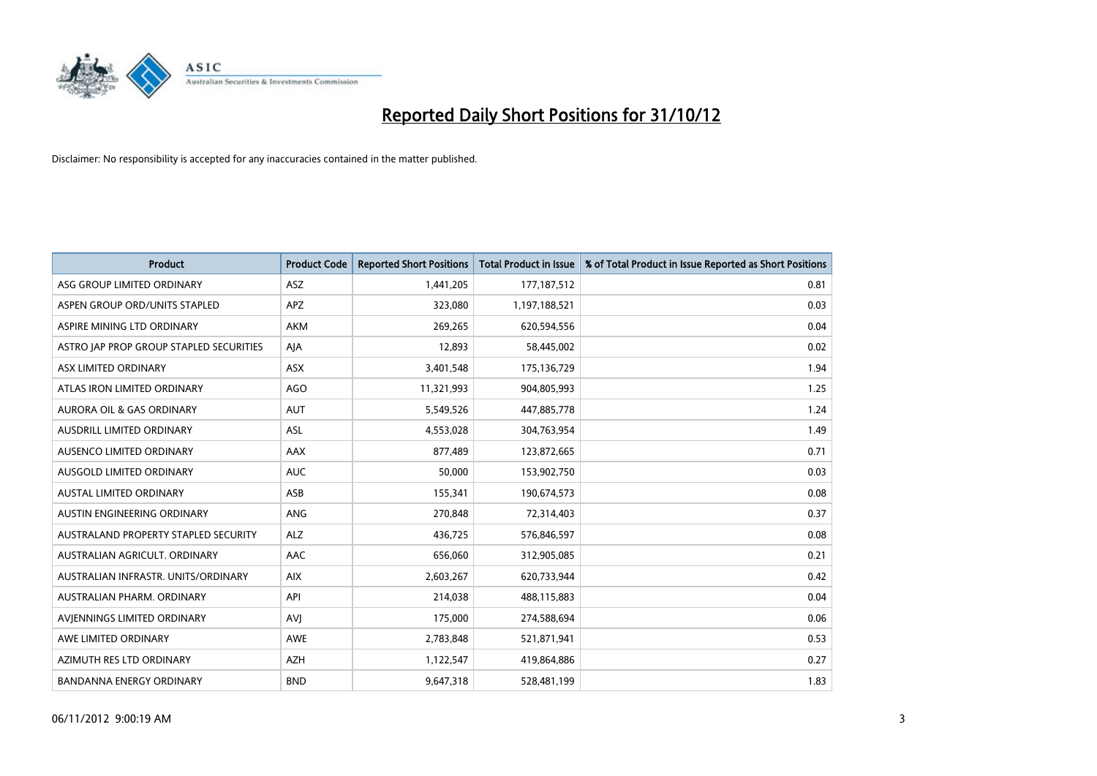

| <b>Product</b>                          | <b>Product Code</b> | <b>Reported Short Positions</b> | <b>Total Product in Issue</b> | % of Total Product in Issue Reported as Short Positions |
|-----------------------------------------|---------------------|---------------------------------|-------------------------------|---------------------------------------------------------|
| ASG GROUP LIMITED ORDINARY              | <b>ASZ</b>          | 1,441,205                       | 177, 187, 512                 | 0.81                                                    |
| ASPEN GROUP ORD/UNITS STAPLED           | <b>APZ</b>          | 323,080                         | 1,197,188,521                 | 0.03                                                    |
| ASPIRE MINING LTD ORDINARY              | <b>AKM</b>          | 269,265                         | 620,594,556                   | 0.04                                                    |
| ASTRO JAP PROP GROUP STAPLED SECURITIES | AJA                 | 12,893                          | 58,445,002                    | 0.02                                                    |
| ASX LIMITED ORDINARY                    | <b>ASX</b>          | 3,401,548                       | 175,136,729                   | 1.94                                                    |
| ATLAS IRON LIMITED ORDINARY             | <b>AGO</b>          | 11,321,993                      | 904,805,993                   | 1.25                                                    |
| <b>AURORA OIL &amp; GAS ORDINARY</b>    | <b>AUT</b>          | 5,549,526                       | 447,885,778                   | 1.24                                                    |
| AUSDRILL LIMITED ORDINARY               | ASL                 | 4,553,028                       | 304,763,954                   | 1.49                                                    |
| AUSENCO LIMITED ORDINARY                | AAX                 | 877,489                         | 123,872,665                   | 0.71                                                    |
| AUSGOLD LIMITED ORDINARY                | <b>AUC</b>          | 50,000                          | 153,902,750                   | 0.03                                                    |
| <b>AUSTAL LIMITED ORDINARY</b>          | ASB                 | 155,341                         | 190,674,573                   | 0.08                                                    |
| AUSTIN ENGINEERING ORDINARY             | ANG                 | 270,848                         | 72,314,403                    | 0.37                                                    |
| AUSTRALAND PROPERTY STAPLED SECURITY    | <b>ALZ</b>          | 436,725                         | 576,846,597                   | 0.08                                                    |
| AUSTRALIAN AGRICULT, ORDINARY           | AAC                 | 656,060                         | 312,905,085                   | 0.21                                                    |
| AUSTRALIAN INFRASTR, UNITS/ORDINARY     | <b>AIX</b>          | 2,603,267                       | 620,733,944                   | 0.42                                                    |
| AUSTRALIAN PHARM, ORDINARY              | API                 | 214,038                         | 488,115,883                   | 0.04                                                    |
| AVIENNINGS LIMITED ORDINARY             | AVI                 | 175,000                         | 274,588,694                   | 0.06                                                    |
| AWE LIMITED ORDINARY                    | <b>AWE</b>          | 2,783,848                       | 521,871,941                   | 0.53                                                    |
| AZIMUTH RES LTD ORDINARY                | <b>AZH</b>          | 1,122,547                       | 419,864,886                   | 0.27                                                    |
| BANDANNA ENERGY ORDINARY                | <b>BND</b>          | 9,647,318                       | 528,481,199                   | 1.83                                                    |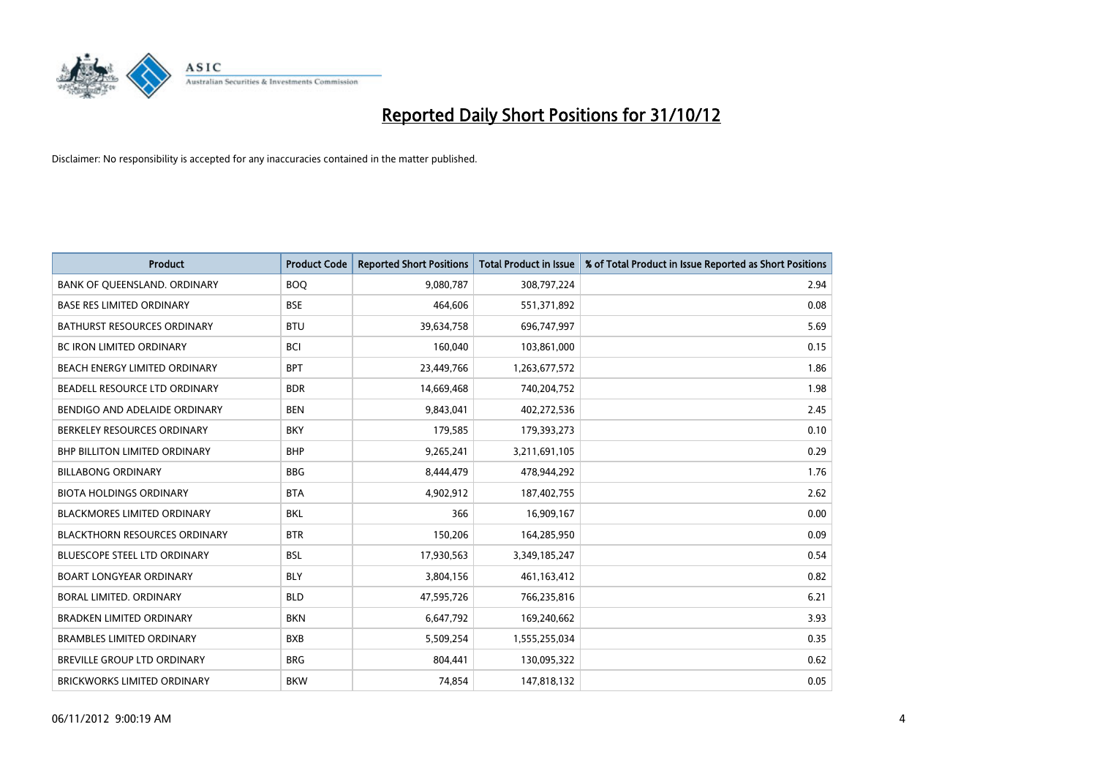

| <b>Product</b>                       | <b>Product Code</b> | <b>Reported Short Positions</b> | <b>Total Product in Issue</b> | % of Total Product in Issue Reported as Short Positions |
|--------------------------------------|---------------------|---------------------------------|-------------------------------|---------------------------------------------------------|
| BANK OF QUEENSLAND. ORDINARY         | <b>BOO</b>          | 9,080,787                       | 308,797,224                   | 2.94                                                    |
| <b>BASE RES LIMITED ORDINARY</b>     | <b>BSE</b>          | 464,606                         | 551,371,892                   | 0.08                                                    |
| <b>BATHURST RESOURCES ORDINARY</b>   | <b>BTU</b>          | 39,634,758                      | 696,747,997                   | 5.69                                                    |
| <b>BC IRON LIMITED ORDINARY</b>      | <b>BCI</b>          | 160,040                         | 103,861,000                   | 0.15                                                    |
| <b>BEACH ENERGY LIMITED ORDINARY</b> | <b>BPT</b>          | 23,449,766                      | 1,263,677,572                 | 1.86                                                    |
| BEADELL RESOURCE LTD ORDINARY        | <b>BDR</b>          | 14,669,468                      | 740,204,752                   | 1.98                                                    |
| BENDIGO AND ADELAIDE ORDINARY        | <b>BEN</b>          | 9,843,041                       | 402,272,536                   | 2.45                                                    |
| BERKELEY RESOURCES ORDINARY          | <b>BKY</b>          | 179,585                         | 179,393,273                   | 0.10                                                    |
| <b>BHP BILLITON LIMITED ORDINARY</b> | <b>BHP</b>          | 9,265,241                       | 3,211,691,105                 | 0.29                                                    |
| <b>BILLABONG ORDINARY</b>            | <b>BBG</b>          | 8,444,479                       | 478,944,292                   | 1.76                                                    |
| <b>BIOTA HOLDINGS ORDINARY</b>       | <b>BTA</b>          | 4,902,912                       | 187,402,755                   | 2.62                                                    |
| <b>BLACKMORES LIMITED ORDINARY</b>   | <b>BKL</b>          | 366                             | 16,909,167                    | 0.00                                                    |
| <b>BLACKTHORN RESOURCES ORDINARY</b> | <b>BTR</b>          | 150,206                         | 164,285,950                   | 0.09                                                    |
| <b>BLUESCOPE STEEL LTD ORDINARY</b>  | <b>BSL</b>          | 17,930,563                      | 3,349,185,247                 | 0.54                                                    |
| <b>BOART LONGYEAR ORDINARY</b>       | <b>BLY</b>          | 3,804,156                       | 461,163,412                   | 0.82                                                    |
| BORAL LIMITED. ORDINARY              | <b>BLD</b>          | 47,595,726                      | 766,235,816                   | 6.21                                                    |
| <b>BRADKEN LIMITED ORDINARY</b>      | <b>BKN</b>          | 6,647,792                       | 169,240,662                   | 3.93                                                    |
| <b>BRAMBLES LIMITED ORDINARY</b>     | <b>BXB</b>          | 5,509,254                       | 1,555,255,034                 | 0.35                                                    |
| <b>BREVILLE GROUP LTD ORDINARY</b>   | <b>BRG</b>          | 804,441                         | 130,095,322                   | 0.62                                                    |
| BRICKWORKS LIMITED ORDINARY          | <b>BKW</b>          | 74,854                          | 147,818,132                   | 0.05                                                    |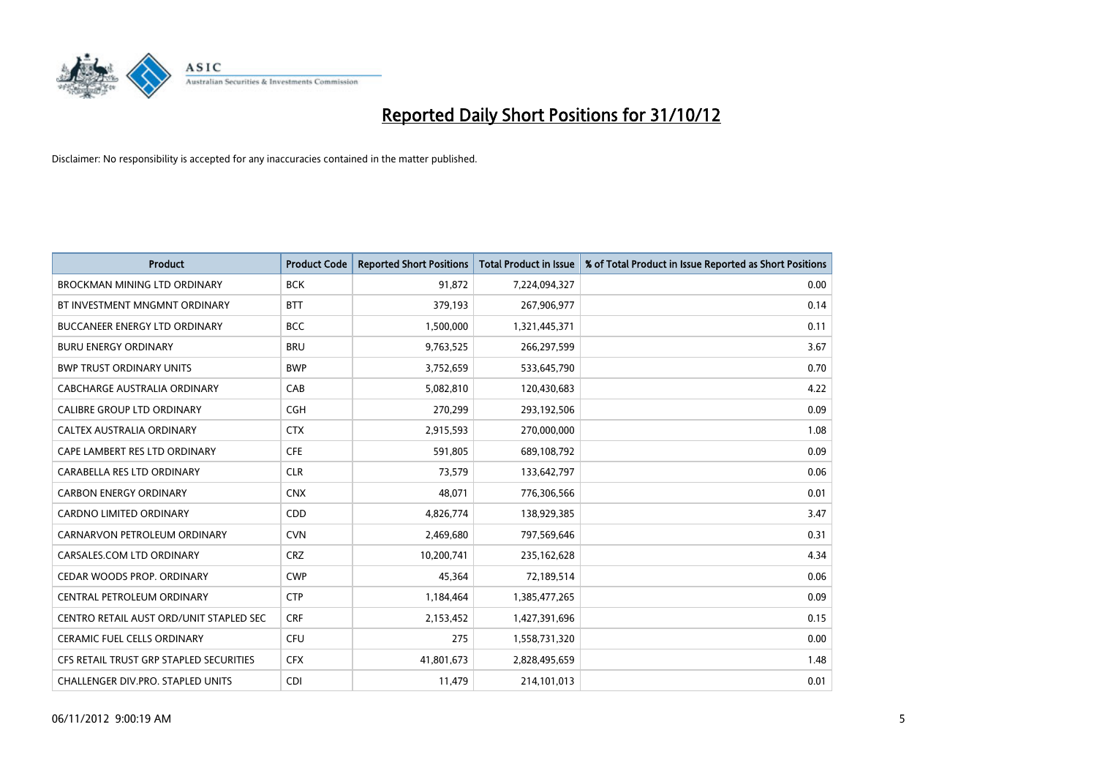

| <b>Product</b>                          | <b>Product Code</b> | <b>Reported Short Positions</b> | <b>Total Product in Issue</b> | % of Total Product in Issue Reported as Short Positions |
|-----------------------------------------|---------------------|---------------------------------|-------------------------------|---------------------------------------------------------|
| <b>BROCKMAN MINING LTD ORDINARY</b>     | <b>BCK</b>          | 91,872                          | 7,224,094,327                 | 0.00                                                    |
| BT INVESTMENT MNGMNT ORDINARY           | <b>BTT</b>          | 379,193                         | 267,906,977                   | 0.14                                                    |
| <b>BUCCANEER ENERGY LTD ORDINARY</b>    | <b>BCC</b>          | 1,500,000                       | 1,321,445,371                 | 0.11                                                    |
| <b>BURU ENERGY ORDINARY</b>             | <b>BRU</b>          | 9,763,525                       | 266,297,599                   | 3.67                                                    |
| <b>BWP TRUST ORDINARY UNITS</b>         | <b>BWP</b>          | 3,752,659                       | 533,645,790                   | 0.70                                                    |
| CABCHARGE AUSTRALIA ORDINARY            | CAB                 | 5,082,810                       | 120,430,683                   | 4.22                                                    |
| <b>CALIBRE GROUP LTD ORDINARY</b>       | <b>CGH</b>          | 270,299                         | 293,192,506                   | 0.09                                                    |
| CALTEX AUSTRALIA ORDINARY               | <b>CTX</b>          | 2,915,593                       | 270,000,000                   | 1.08                                                    |
| CAPE LAMBERT RES LTD ORDINARY           | <b>CFE</b>          | 591.805                         | 689,108,792                   | 0.09                                                    |
| CARABELLA RES LTD ORDINARY              | <b>CLR</b>          | 73,579                          | 133,642,797                   | 0.06                                                    |
| <b>CARBON ENERGY ORDINARY</b>           | <b>CNX</b>          | 48,071                          | 776,306,566                   | 0.01                                                    |
| <b>CARDNO LIMITED ORDINARY</b>          | <b>CDD</b>          | 4,826,774                       | 138,929,385                   | 3.47                                                    |
| CARNARVON PETROLEUM ORDINARY            | <b>CVN</b>          | 2,469,680                       | 797,569,646                   | 0.31                                                    |
| CARSALES.COM LTD ORDINARY               | <b>CRZ</b>          | 10,200,741                      | 235,162,628                   | 4.34                                                    |
| CEDAR WOODS PROP. ORDINARY              | <b>CWP</b>          | 45,364                          | 72,189,514                    | 0.06                                                    |
| CENTRAL PETROLEUM ORDINARY              | <b>CTP</b>          | 1,184,464                       | 1,385,477,265                 | 0.09                                                    |
| CENTRO RETAIL AUST ORD/UNIT STAPLED SEC | <b>CRF</b>          | 2,153,452                       | 1,427,391,696                 | 0.15                                                    |
| <b>CERAMIC FUEL CELLS ORDINARY</b>      | CFU                 | 275                             | 1,558,731,320                 | 0.00                                                    |
| CFS RETAIL TRUST GRP STAPLED SECURITIES | <b>CFX</b>          | 41,801,673                      | 2,828,495,659                 | 1.48                                                    |
| CHALLENGER DIV.PRO. STAPLED UNITS       | <b>CDI</b>          | 11,479                          | 214,101,013                   | 0.01                                                    |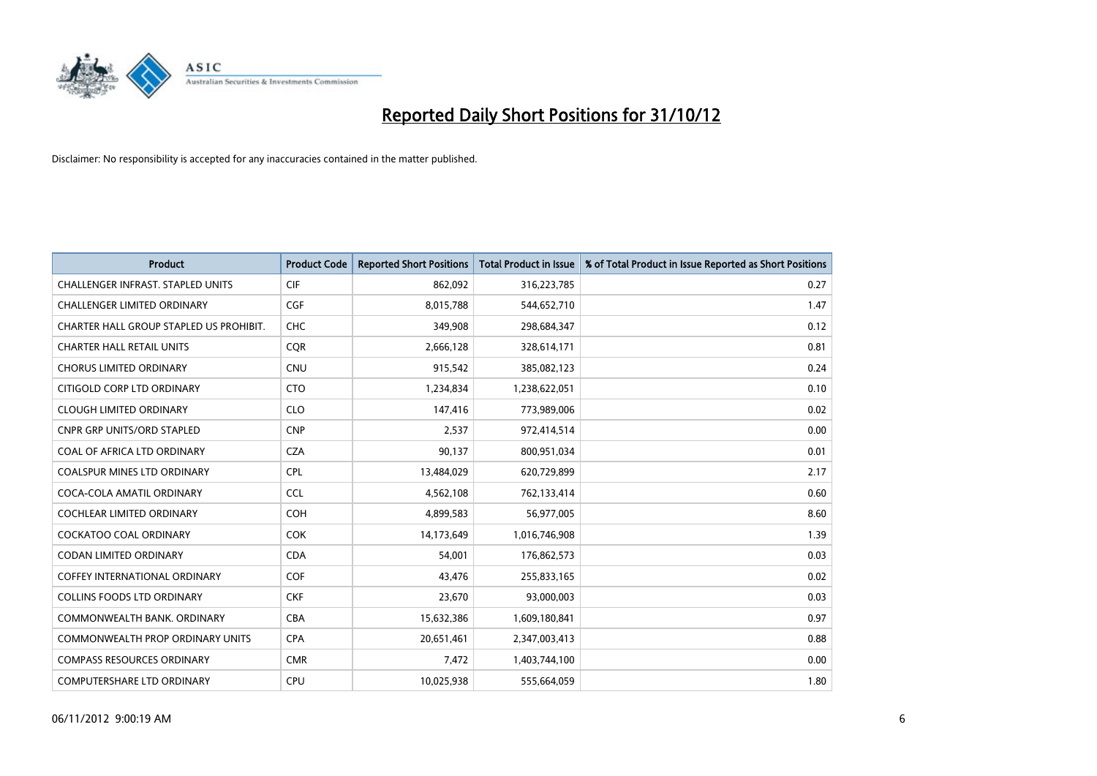

| <b>Product</b>                           | <b>Product Code</b> | <b>Reported Short Positions</b> | <b>Total Product in Issue</b> | % of Total Product in Issue Reported as Short Positions |
|------------------------------------------|---------------------|---------------------------------|-------------------------------|---------------------------------------------------------|
| <b>CHALLENGER INFRAST, STAPLED UNITS</b> | <b>CIF</b>          | 862,092                         | 316,223,785                   | 0.27                                                    |
| <b>CHALLENGER LIMITED ORDINARY</b>       | <b>CGF</b>          | 8,015,788                       | 544,652,710                   | 1.47                                                    |
| CHARTER HALL GROUP STAPLED US PROHIBIT.  | <b>CHC</b>          | 349,908                         | 298,684,347                   | 0.12                                                    |
| <b>CHARTER HALL RETAIL UNITS</b>         | <b>COR</b>          | 2,666,128                       | 328,614,171                   | 0.81                                                    |
| <b>CHORUS LIMITED ORDINARY</b>           | <b>CNU</b>          | 915,542                         | 385,082,123                   | 0.24                                                    |
| CITIGOLD CORP LTD ORDINARY               | <b>CTO</b>          | 1,234,834                       | 1,238,622,051                 | 0.10                                                    |
| <b>CLOUGH LIMITED ORDINARY</b>           | <b>CLO</b>          | 147,416                         | 773,989,006                   | 0.02                                                    |
| <b>CNPR GRP UNITS/ORD STAPLED</b>        | <b>CNP</b>          | 2,537                           | 972,414,514                   | 0.00                                                    |
| COAL OF AFRICA LTD ORDINARY              | <b>CZA</b>          | 90,137                          | 800,951,034                   | 0.01                                                    |
| <b>COALSPUR MINES LTD ORDINARY</b>       | <b>CPL</b>          | 13,484,029                      | 620,729,899                   | 2.17                                                    |
| COCA-COLA AMATIL ORDINARY                | <b>CCL</b>          | 4,562,108                       | 762,133,414                   | 0.60                                                    |
| <b>COCHLEAR LIMITED ORDINARY</b>         | <b>COH</b>          | 4,899,583                       | 56,977,005                    | 8.60                                                    |
| <b>COCKATOO COAL ORDINARY</b>            | <b>COK</b>          | 14,173,649                      | 1,016,746,908                 | 1.39                                                    |
| <b>CODAN LIMITED ORDINARY</b>            | <b>CDA</b>          | 54,001                          | 176,862,573                   | 0.03                                                    |
| <b>COFFEY INTERNATIONAL ORDINARY</b>     | <b>COF</b>          | 43,476                          | 255,833,165                   | 0.02                                                    |
| <b>COLLINS FOODS LTD ORDINARY</b>        | <b>CKF</b>          | 23,670                          | 93,000,003                    | 0.03                                                    |
| COMMONWEALTH BANK, ORDINARY              | CBA                 | 15,632,386                      | 1,609,180,841                 | 0.97                                                    |
| <b>COMMONWEALTH PROP ORDINARY UNITS</b>  | <b>CPA</b>          | 20,651,461                      | 2,347,003,413                 | 0.88                                                    |
| <b>COMPASS RESOURCES ORDINARY</b>        | <b>CMR</b>          | 7,472                           | 1,403,744,100                 | 0.00                                                    |
| <b>COMPUTERSHARE LTD ORDINARY</b>        | CPU                 | 10,025,938                      | 555,664,059                   | 1.80                                                    |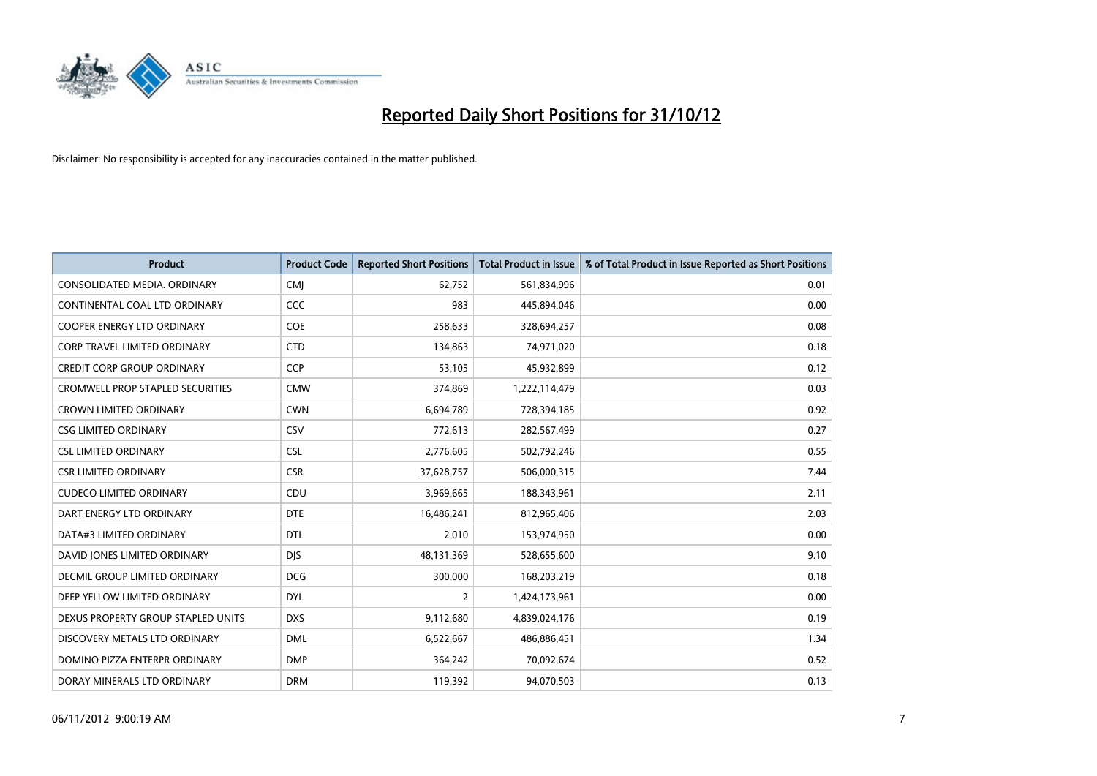

| <b>Product</b>                          | <b>Product Code</b> | <b>Reported Short Positions</b> | <b>Total Product in Issue</b> | % of Total Product in Issue Reported as Short Positions |
|-----------------------------------------|---------------------|---------------------------------|-------------------------------|---------------------------------------------------------|
| CONSOLIDATED MEDIA, ORDINARY            | <b>CMI</b>          | 62,752                          | 561,834,996                   | 0.01                                                    |
| CONTINENTAL COAL LTD ORDINARY           | CCC                 | 983                             | 445,894,046                   | 0.00                                                    |
| <b>COOPER ENERGY LTD ORDINARY</b>       | <b>COE</b>          | 258,633                         | 328,694,257                   | 0.08                                                    |
| CORP TRAVEL LIMITED ORDINARY            | <b>CTD</b>          | 134,863                         | 74,971,020                    | 0.18                                                    |
| <b>CREDIT CORP GROUP ORDINARY</b>       | <b>CCP</b>          | 53,105                          | 45,932,899                    | 0.12                                                    |
| <b>CROMWELL PROP STAPLED SECURITIES</b> | <b>CMW</b>          | 374,869                         | 1,222,114,479                 | 0.03                                                    |
| <b>CROWN LIMITED ORDINARY</b>           | <b>CWN</b>          | 6,694,789                       | 728,394,185                   | 0.92                                                    |
| <b>CSG LIMITED ORDINARY</b>             | CSV                 | 772,613                         | 282,567,499                   | 0.27                                                    |
| <b>CSL LIMITED ORDINARY</b>             | <b>CSL</b>          | 2,776,605                       | 502,792,246                   | 0.55                                                    |
| <b>CSR LIMITED ORDINARY</b>             | <b>CSR</b>          | 37,628,757                      | 506,000,315                   | 7.44                                                    |
| <b>CUDECO LIMITED ORDINARY</b>          | CDU                 | 3,969,665                       | 188,343,961                   | 2.11                                                    |
| DART ENERGY LTD ORDINARY                | <b>DTE</b>          | 16,486,241                      | 812,965,406                   | 2.03                                                    |
| DATA#3 LIMITED ORDINARY                 | <b>DTL</b>          | 2,010                           | 153,974,950                   | 0.00                                                    |
| DAVID JONES LIMITED ORDINARY            | <b>DIS</b>          | 48,131,369                      | 528,655,600                   | 9.10                                                    |
| DECMIL GROUP LIMITED ORDINARY           | <b>DCG</b>          | 300,000                         | 168,203,219                   | 0.18                                                    |
| DEEP YELLOW LIMITED ORDINARY            | <b>DYL</b>          | 2                               | 1,424,173,961                 | 0.00                                                    |
| DEXUS PROPERTY GROUP STAPLED UNITS      | <b>DXS</b>          | 9,112,680                       | 4,839,024,176                 | 0.19                                                    |
| DISCOVERY METALS LTD ORDINARY           | <b>DML</b>          | 6,522,667                       | 486,886,451                   | 1.34                                                    |
| DOMINO PIZZA ENTERPR ORDINARY           | <b>DMP</b>          | 364,242                         | 70,092,674                    | 0.52                                                    |
| DORAY MINERALS LTD ORDINARY             | <b>DRM</b>          | 119,392                         | 94,070,503                    | 0.13                                                    |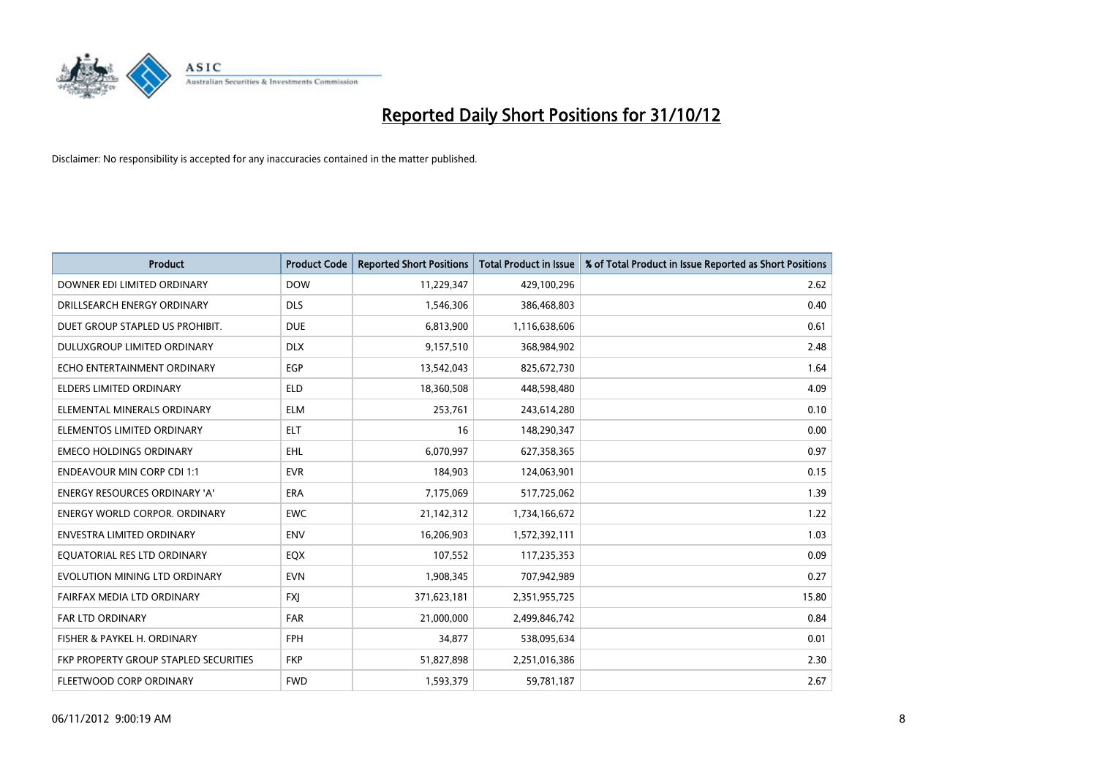

| <b>Product</b>                        | <b>Product Code</b> | <b>Reported Short Positions</b> | <b>Total Product in Issue</b> | % of Total Product in Issue Reported as Short Positions |
|---------------------------------------|---------------------|---------------------------------|-------------------------------|---------------------------------------------------------|
| DOWNER EDI LIMITED ORDINARY           | <b>DOW</b>          | 11,229,347                      | 429,100,296                   | 2.62                                                    |
| DRILLSEARCH ENERGY ORDINARY           | <b>DLS</b>          | 1,546,306                       | 386,468,803                   | 0.40                                                    |
| DUET GROUP STAPLED US PROHIBIT.       | <b>DUE</b>          | 6,813,900                       | 1,116,638,606                 | 0.61                                                    |
| DULUXGROUP LIMITED ORDINARY           | <b>DLX</b>          | 9,157,510                       | 368,984,902                   | 2.48                                                    |
| ECHO ENTERTAINMENT ORDINARY           | <b>EGP</b>          | 13,542,043                      | 825,672,730                   | 1.64                                                    |
| <b>ELDERS LIMITED ORDINARY</b>        | <b>ELD</b>          | 18,360,508                      | 448,598,480                   | 4.09                                                    |
| ELEMENTAL MINERALS ORDINARY           | <b>ELM</b>          | 253,761                         | 243,614,280                   | 0.10                                                    |
| ELEMENTOS LIMITED ORDINARY            | <b>ELT</b>          | 16                              | 148,290,347                   | 0.00                                                    |
| <b>EMECO HOLDINGS ORDINARY</b>        | <b>EHL</b>          | 6,070,997                       | 627,358,365                   | 0.97                                                    |
| <b>ENDEAVOUR MIN CORP CDI 1:1</b>     | <b>EVR</b>          | 184,903                         | 124,063,901                   | 0.15                                                    |
| ENERGY RESOURCES ORDINARY 'A'         | ERA                 | 7,175,069                       | 517,725,062                   | 1.39                                                    |
| <b>ENERGY WORLD CORPOR, ORDINARY</b>  | <b>EWC</b>          | 21,142,312                      | 1,734,166,672                 | 1.22                                                    |
| ENVESTRA LIMITED ORDINARY             | <b>ENV</b>          | 16,206,903                      | 1,572,392,111                 | 1.03                                                    |
| EQUATORIAL RES LTD ORDINARY           | <b>EQX</b>          | 107,552                         | 117,235,353                   | 0.09                                                    |
| EVOLUTION MINING LTD ORDINARY         | <b>EVN</b>          | 1,908,345                       | 707,942,989                   | 0.27                                                    |
| FAIRFAX MEDIA LTD ORDINARY            | <b>FXI</b>          | 371,623,181                     | 2,351,955,725                 | 15.80                                                   |
| FAR LTD ORDINARY                      | <b>FAR</b>          | 21,000,000                      | 2,499,846,742                 | 0.84                                                    |
| FISHER & PAYKEL H. ORDINARY           | <b>FPH</b>          | 34,877                          | 538,095,634                   | 0.01                                                    |
| FKP PROPERTY GROUP STAPLED SECURITIES | <b>FKP</b>          | 51,827,898                      | 2,251,016,386                 | 2.30                                                    |
| FLEETWOOD CORP ORDINARY               | <b>FWD</b>          | 1,593,379                       | 59,781,187                    | 2.67                                                    |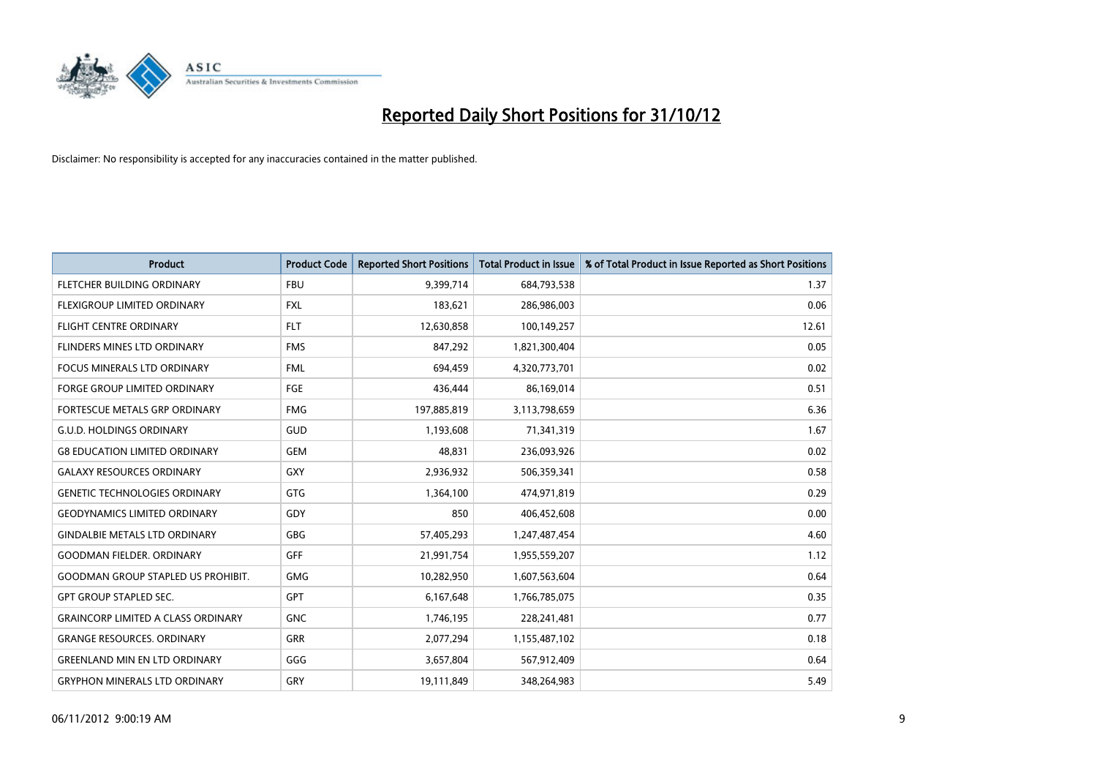

| <b>Product</b>                            | <b>Product Code</b> | <b>Reported Short Positions</b> | <b>Total Product in Issue</b> | % of Total Product in Issue Reported as Short Positions |
|-------------------------------------------|---------------------|---------------------------------|-------------------------------|---------------------------------------------------------|
| FLETCHER BUILDING ORDINARY                | <b>FBU</b>          | 9,399,714                       | 684,793,538                   | 1.37                                                    |
| <b>FLEXIGROUP LIMITED ORDINARY</b>        | <b>FXL</b>          | 183,621                         | 286,986,003                   | 0.06                                                    |
| <b>FLIGHT CENTRE ORDINARY</b>             | <b>FLT</b>          | 12,630,858                      | 100,149,257                   | 12.61                                                   |
| FLINDERS MINES LTD ORDINARY               | <b>FMS</b>          | 847,292                         | 1,821,300,404                 | 0.05                                                    |
| <b>FOCUS MINERALS LTD ORDINARY</b>        | <b>FML</b>          | 694,459                         | 4,320,773,701                 | 0.02                                                    |
| <b>FORGE GROUP LIMITED ORDINARY</b>       | FGE                 | 436,444                         | 86,169,014                    | 0.51                                                    |
| FORTESCUE METALS GRP ORDINARY             | <b>FMG</b>          | 197,885,819                     | 3,113,798,659                 | 6.36                                                    |
| <b>G.U.D. HOLDINGS ORDINARY</b>           | GUD                 | 1,193,608                       | 71,341,319                    | 1.67                                                    |
| <b>G8 EDUCATION LIMITED ORDINARY</b>      | <b>GEM</b>          | 48,831                          | 236,093,926                   | 0.02                                                    |
| <b>GALAXY RESOURCES ORDINARY</b>          | <b>GXY</b>          | 2,936,932                       | 506,359,341                   | 0.58                                                    |
| <b>GENETIC TECHNOLOGIES ORDINARY</b>      | <b>GTG</b>          | 1,364,100                       | 474,971,819                   | 0.29                                                    |
| <b>GEODYNAMICS LIMITED ORDINARY</b>       | GDY                 | 850                             | 406,452,608                   | 0.00                                                    |
| <b>GINDALBIE METALS LTD ORDINARY</b>      | <b>GBG</b>          | 57,405,293                      | 1,247,487,454                 | 4.60                                                    |
| <b>GOODMAN FIELDER, ORDINARY</b>          | <b>GFF</b>          | 21,991,754                      | 1,955,559,207                 | 1.12                                                    |
| <b>GOODMAN GROUP STAPLED US PROHIBIT.</b> | <b>GMG</b>          | 10,282,950                      | 1,607,563,604                 | 0.64                                                    |
| <b>GPT GROUP STAPLED SEC.</b>             | <b>GPT</b>          | 6,167,648                       | 1,766,785,075                 | 0.35                                                    |
| <b>GRAINCORP LIMITED A CLASS ORDINARY</b> | <b>GNC</b>          | 1,746,195                       | 228,241,481                   | 0.77                                                    |
| <b>GRANGE RESOURCES. ORDINARY</b>         | <b>GRR</b>          | 2,077,294                       | 1,155,487,102                 | 0.18                                                    |
| <b>GREENLAND MIN EN LTD ORDINARY</b>      | GGG                 | 3,657,804                       | 567,912,409                   | 0.64                                                    |
| <b>GRYPHON MINERALS LTD ORDINARY</b>      | GRY                 | 19,111,849                      | 348.264.983                   | 5.49                                                    |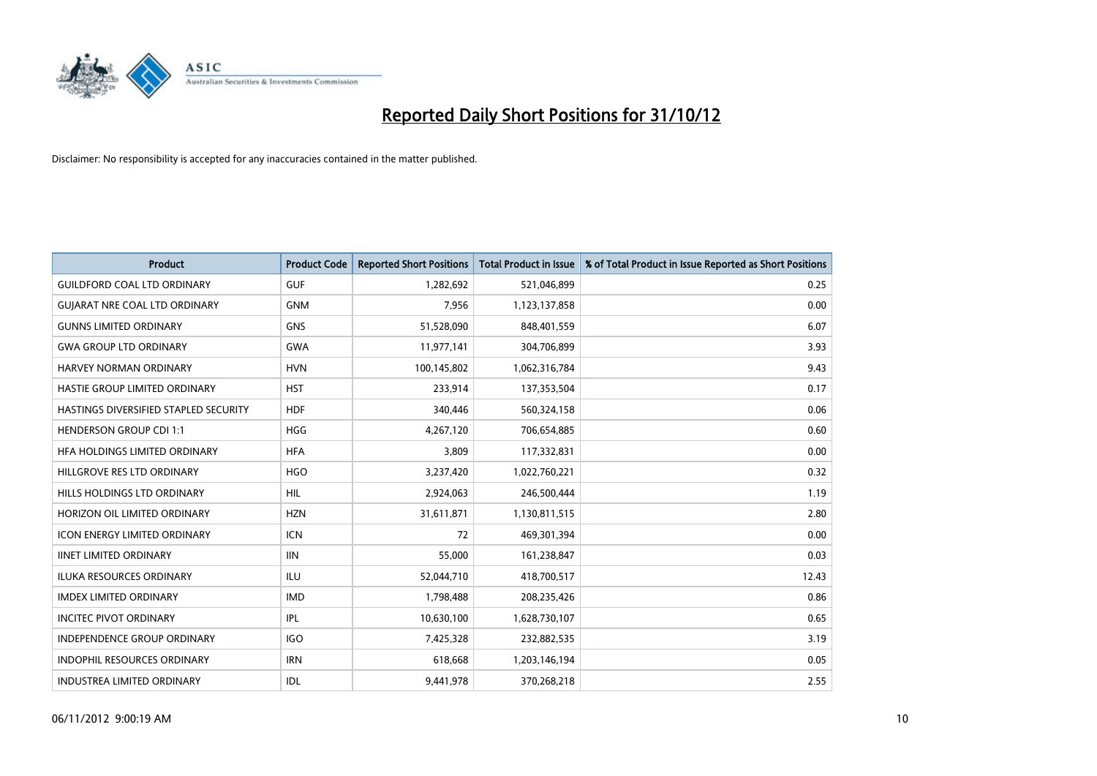

| <b>Product</b>                               | <b>Product Code</b> | <b>Reported Short Positions</b> | <b>Total Product in Issue</b> | % of Total Product in Issue Reported as Short Positions |
|----------------------------------------------|---------------------|---------------------------------|-------------------------------|---------------------------------------------------------|
| <b>GUILDFORD COAL LTD ORDINARY</b>           | <b>GUF</b>          | 1,282,692                       | 521,046,899                   | 0.25                                                    |
| <b>GUIARAT NRE COAL LTD ORDINARY</b>         | <b>GNM</b>          | 7,956                           | 1,123,137,858                 | 0.00                                                    |
| <b>GUNNS LIMITED ORDINARY</b>                | <b>GNS</b>          | 51,528,090                      | 848,401,559                   | 6.07                                                    |
| <b>GWA GROUP LTD ORDINARY</b>                | <b>GWA</b>          | 11,977,141                      | 304,706,899                   | 3.93                                                    |
| HARVEY NORMAN ORDINARY                       | <b>HVN</b>          | 100,145,802                     | 1,062,316,784                 | 9.43                                                    |
| HASTIE GROUP LIMITED ORDINARY                | <b>HST</b>          | 233,914                         | 137,353,504                   | 0.17                                                    |
| <b>HASTINGS DIVERSIFIED STAPLED SECURITY</b> | <b>HDF</b>          | 340,446                         | 560,324,158                   | 0.06                                                    |
| <b>HENDERSON GROUP CDI 1:1</b>               | <b>HGG</b>          | 4,267,120                       | 706,654,885                   | 0.60                                                    |
| HFA HOLDINGS LIMITED ORDINARY                | <b>HFA</b>          | 3,809                           | 117,332,831                   | 0.00                                                    |
| HILLGROVE RES LTD ORDINARY                   | <b>HGO</b>          | 3,237,420                       | 1,022,760,221                 | 0.32                                                    |
| HILLS HOLDINGS LTD ORDINARY                  | <b>HIL</b>          | 2,924,063                       | 246,500,444                   | 1.19                                                    |
| HORIZON OIL LIMITED ORDINARY                 | <b>HZN</b>          | 31,611,871                      | 1,130,811,515                 | 2.80                                                    |
| ICON ENERGY LIMITED ORDINARY                 | <b>ICN</b>          | 72                              | 469,301,394                   | 0.00                                                    |
| <b>IINET LIMITED ORDINARY</b>                | <b>IIN</b>          | 55,000                          | 161,238,847                   | 0.03                                                    |
| <b>ILUKA RESOURCES ORDINARY</b>              | ILU                 | 52,044,710                      | 418,700,517                   | 12.43                                                   |
| <b>IMDEX LIMITED ORDINARY</b>                | <b>IMD</b>          | 1,798,488                       | 208,235,426                   | 0.86                                                    |
| <b>INCITEC PIVOT ORDINARY</b>                | <b>IPL</b>          | 10,630,100                      | 1,628,730,107                 | 0.65                                                    |
| INDEPENDENCE GROUP ORDINARY                  | <b>IGO</b>          | 7,425,328                       | 232,882,535                   | 3.19                                                    |
| <b>INDOPHIL RESOURCES ORDINARY</b>           | <b>IRN</b>          | 618,668                         | 1,203,146,194                 | 0.05                                                    |
| INDUSTREA LIMITED ORDINARY                   | <b>IDL</b>          | 9,441,978                       | 370,268,218                   | 2.55                                                    |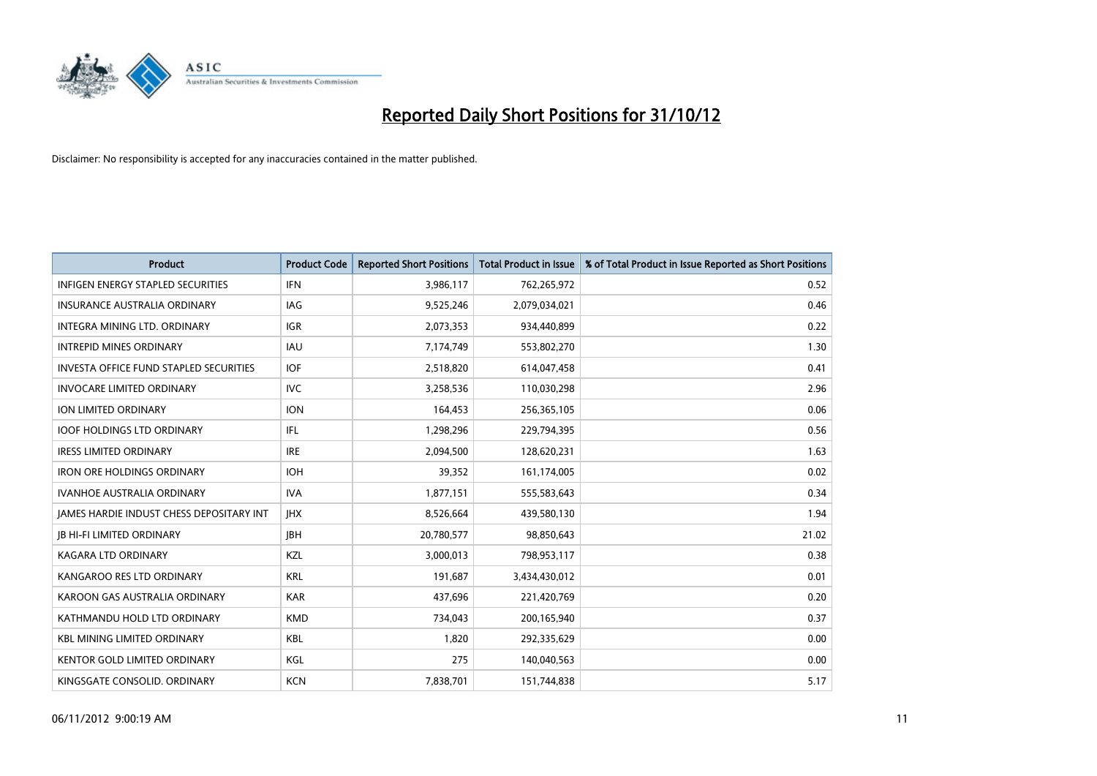

| <b>Product</b>                                  | <b>Product Code</b> | <b>Reported Short Positions</b> | <b>Total Product in Issue</b> | % of Total Product in Issue Reported as Short Positions |
|-------------------------------------------------|---------------------|---------------------------------|-------------------------------|---------------------------------------------------------|
| <b>INFIGEN ENERGY STAPLED SECURITIES</b>        | <b>IFN</b>          | 3,986,117                       | 762,265,972                   | 0.52                                                    |
| INSURANCE AUSTRALIA ORDINARY                    | IAG                 | 9,525,246                       | 2,079,034,021                 | 0.46                                                    |
| INTEGRA MINING LTD. ORDINARY                    | <b>IGR</b>          | 2,073,353                       | 934,440,899                   | 0.22                                                    |
| <b>INTREPID MINES ORDINARY</b>                  | <b>IAU</b>          | 7,174,749                       | 553,802,270                   | 1.30                                                    |
| <b>INVESTA OFFICE FUND STAPLED SECURITIES</b>   | <b>IOF</b>          | 2,518,820                       | 614,047,458                   | 0.41                                                    |
| <b>INVOCARE LIMITED ORDINARY</b>                | <b>IVC</b>          | 3,258,536                       | 110,030,298                   | 2.96                                                    |
| <b>ION LIMITED ORDINARY</b>                     | <b>ION</b>          | 164,453                         | 256,365,105                   | 0.06                                                    |
| <b>IOOF HOLDINGS LTD ORDINARY</b>               | <b>IFL</b>          | 1,298,296                       | 229,794,395                   | 0.56                                                    |
| <b>IRESS LIMITED ORDINARY</b>                   | <b>IRE</b>          | 2,094,500                       | 128,620,231                   | 1.63                                                    |
| <b>IRON ORE HOLDINGS ORDINARY</b>               | <b>IOH</b>          | 39,352                          | 161,174,005                   | 0.02                                                    |
| <b>IVANHOE AUSTRALIA ORDINARY</b>               | <b>IVA</b>          | 1,877,151                       | 555,583,643                   | 0.34                                                    |
| <b>JAMES HARDIE INDUST CHESS DEPOSITARY INT</b> | <b>IHX</b>          | 8,526,664                       | 439,580,130                   | 1.94                                                    |
| <b>IB HI-FI LIMITED ORDINARY</b>                | <b>IBH</b>          | 20,780,577                      | 98,850,643                    | 21.02                                                   |
| <b>KAGARA LTD ORDINARY</b>                      | KZL                 | 3,000,013                       | 798,953,117                   | 0.38                                                    |
| KANGAROO RES LTD ORDINARY                       | <b>KRL</b>          | 191,687                         | 3,434,430,012                 | 0.01                                                    |
| KAROON GAS AUSTRALIA ORDINARY                   | <b>KAR</b>          | 437,696                         | 221,420,769                   | 0.20                                                    |
| KATHMANDU HOLD LTD ORDINARY                     | <b>KMD</b>          | 734,043                         | 200,165,940                   | 0.37                                                    |
| <b>KBL MINING LIMITED ORDINARY</b>              | KBL                 | 1,820                           | 292,335,629                   | 0.00                                                    |
| <b>KENTOR GOLD LIMITED ORDINARY</b>             | KGL                 | 275                             | 140,040,563                   | 0.00                                                    |
| KINGSGATE CONSOLID. ORDINARY                    | <b>KCN</b>          | 7,838,701                       | 151,744,838                   | 5.17                                                    |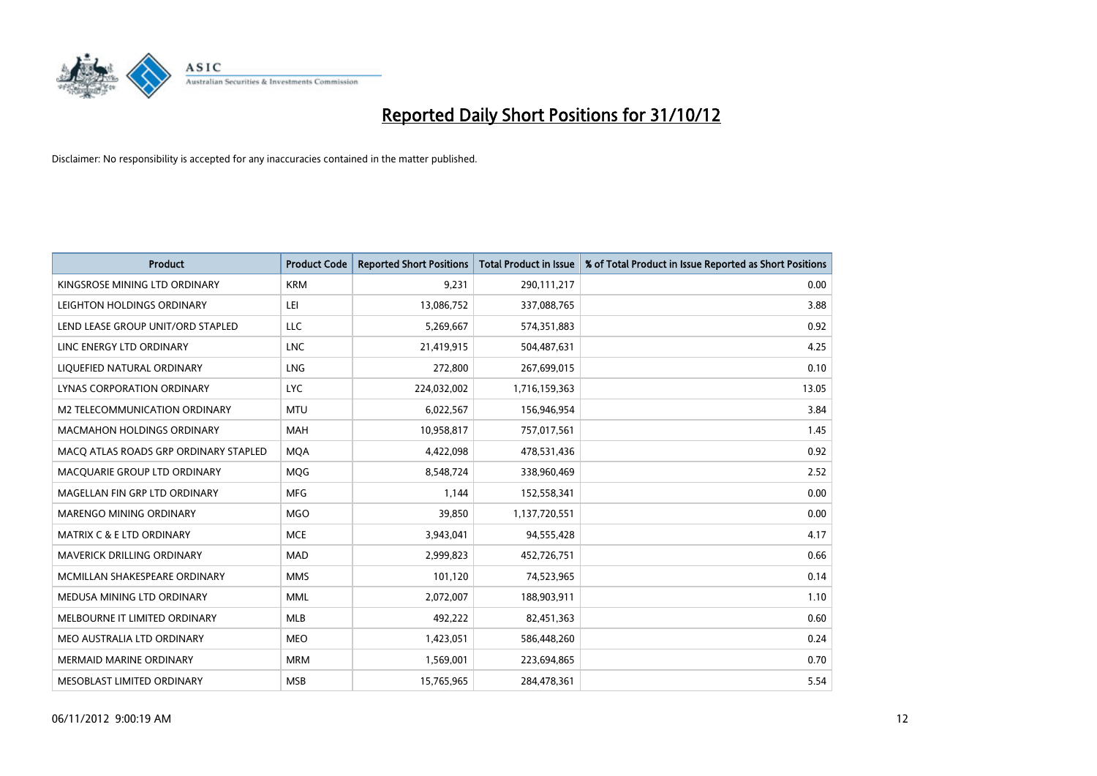

| <b>Product</b>                        | <b>Product Code</b> | <b>Reported Short Positions</b> | <b>Total Product in Issue</b> | % of Total Product in Issue Reported as Short Positions |
|---------------------------------------|---------------------|---------------------------------|-------------------------------|---------------------------------------------------------|
| KINGSROSE MINING LTD ORDINARY         | <b>KRM</b>          | 9,231                           | 290,111,217                   | 0.00                                                    |
| LEIGHTON HOLDINGS ORDINARY            | LEI                 | 13,086,752                      | 337,088,765                   | 3.88                                                    |
| LEND LEASE GROUP UNIT/ORD STAPLED     | <b>LLC</b>          | 5,269,667                       | 574,351,883                   | 0.92                                                    |
| LINC ENERGY LTD ORDINARY              | <b>LNC</b>          | 21,419,915                      | 504,487,631                   | 4.25                                                    |
| LIQUEFIED NATURAL ORDINARY            | <b>LNG</b>          | 272,800                         | 267,699,015                   | 0.10                                                    |
| LYNAS CORPORATION ORDINARY            | <b>LYC</b>          | 224,032,002                     | 1,716,159,363                 | 13.05                                                   |
| M2 TELECOMMUNICATION ORDINARY         | <b>MTU</b>          | 6,022,567                       | 156,946,954                   | 3.84                                                    |
| MACMAHON HOLDINGS ORDINARY            | <b>MAH</b>          | 10,958,817                      | 757,017,561                   | 1.45                                                    |
| MACO ATLAS ROADS GRP ORDINARY STAPLED | <b>MOA</b>          | 4,422,098                       | 478,531,436                   | 0.92                                                    |
| MACQUARIE GROUP LTD ORDINARY          | <b>MOG</b>          | 8,548,724                       | 338,960,469                   | 2.52                                                    |
| MAGELLAN FIN GRP LTD ORDINARY         | <b>MFG</b>          | 1,144                           | 152,558,341                   | 0.00                                                    |
| <b>MARENGO MINING ORDINARY</b>        | <b>MGO</b>          | 39,850                          | 1,137,720,551                 | 0.00                                                    |
| MATRIX C & E LTD ORDINARY             | <b>MCE</b>          | 3,943,041                       | 94,555,428                    | 4.17                                                    |
| MAVERICK DRILLING ORDINARY            | <b>MAD</b>          | 2,999,823                       | 452,726,751                   | 0.66                                                    |
| MCMILLAN SHAKESPEARE ORDINARY         | <b>MMS</b>          | 101,120                         | 74,523,965                    | 0.14                                                    |
| MEDUSA MINING LTD ORDINARY            | <b>MML</b>          | 2,072,007                       | 188,903,911                   | 1.10                                                    |
| MELBOURNE IT LIMITED ORDINARY         | <b>MLB</b>          | 492,222                         | 82,451,363                    | 0.60                                                    |
| MEO AUSTRALIA LTD ORDINARY            | <b>MEO</b>          | 1,423,051                       | 586,448,260                   | 0.24                                                    |
| <b>MERMAID MARINE ORDINARY</b>        | <b>MRM</b>          | 1,569,001                       | 223,694,865                   | 0.70                                                    |
| MESOBLAST LIMITED ORDINARY            | <b>MSB</b>          | 15,765,965                      | 284,478,361                   | 5.54                                                    |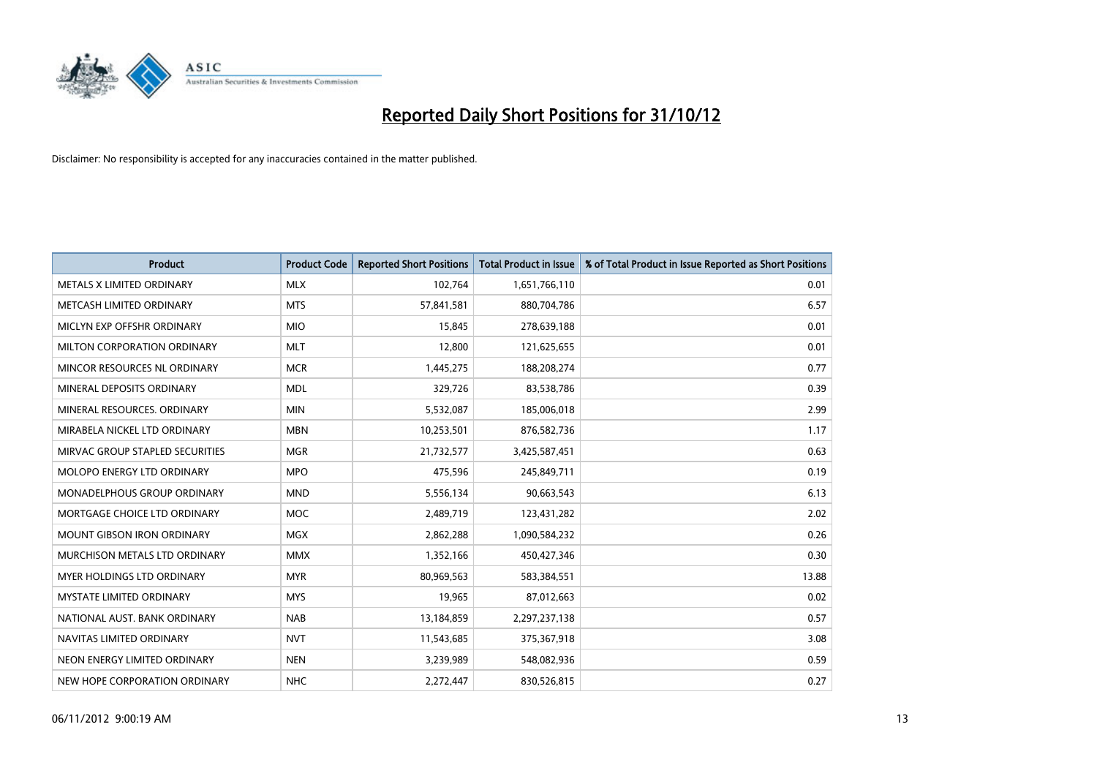

| <b>Product</b>                       | <b>Product Code</b> | <b>Reported Short Positions</b> | <b>Total Product in Issue</b> | % of Total Product in Issue Reported as Short Positions |
|--------------------------------------|---------------------|---------------------------------|-------------------------------|---------------------------------------------------------|
| METALS X LIMITED ORDINARY            | <b>MLX</b>          | 102,764                         | 1,651,766,110                 | 0.01                                                    |
| METCASH LIMITED ORDINARY             | <b>MTS</b>          | 57,841,581                      | 880,704,786                   | 6.57                                                    |
| MICLYN EXP OFFSHR ORDINARY           | <b>MIO</b>          | 15,845                          | 278,639,188                   | 0.01                                                    |
| MILTON CORPORATION ORDINARY          | <b>MLT</b>          | 12,800                          | 121,625,655                   | 0.01                                                    |
| MINCOR RESOURCES NL ORDINARY         | <b>MCR</b>          | 1,445,275                       | 188,208,274                   | 0.77                                                    |
| MINERAL DEPOSITS ORDINARY            | <b>MDL</b>          | 329,726                         | 83,538,786                    | 0.39                                                    |
| MINERAL RESOURCES, ORDINARY          | <b>MIN</b>          | 5,532,087                       | 185,006,018                   | 2.99                                                    |
| MIRABELA NICKEL LTD ORDINARY         | <b>MBN</b>          | 10,253,501                      | 876,582,736                   | 1.17                                                    |
| MIRVAC GROUP STAPLED SECURITIES      | <b>MGR</b>          | 21,732,577                      | 3,425,587,451                 | 0.63                                                    |
| MOLOPO ENERGY LTD ORDINARY           | <b>MPO</b>          | 475,596                         | 245,849,711                   | 0.19                                                    |
| <b>MONADELPHOUS GROUP ORDINARY</b>   | <b>MND</b>          | 5,556,134                       | 90,663,543                    | 6.13                                                    |
| MORTGAGE CHOICE LTD ORDINARY         | MOC                 | 2,489,719                       | 123,431,282                   | 2.02                                                    |
| <b>MOUNT GIBSON IRON ORDINARY</b>    | <b>MGX</b>          | 2,862,288                       | 1,090,584,232                 | 0.26                                                    |
| <b>MURCHISON METALS LTD ORDINARY</b> | <b>MMX</b>          | 1,352,166                       | 450,427,346                   | 0.30                                                    |
| <b>MYER HOLDINGS LTD ORDINARY</b>    | <b>MYR</b>          | 80,969,563                      | 583,384,551                   | 13.88                                                   |
| MYSTATE LIMITED ORDINARY             | <b>MYS</b>          | 19,965                          | 87,012,663                    | 0.02                                                    |
| NATIONAL AUST, BANK ORDINARY         | <b>NAB</b>          | 13,184,859                      | 2,297,237,138                 | 0.57                                                    |
| NAVITAS LIMITED ORDINARY             | <b>NVT</b>          | 11,543,685                      | 375,367,918                   | 3.08                                                    |
| NEON ENERGY LIMITED ORDINARY         | <b>NEN</b>          | 3,239,989                       | 548,082,936                   | 0.59                                                    |
| NEW HOPE CORPORATION ORDINARY        | <b>NHC</b>          | 2.272.447                       | 830,526,815                   | 0.27                                                    |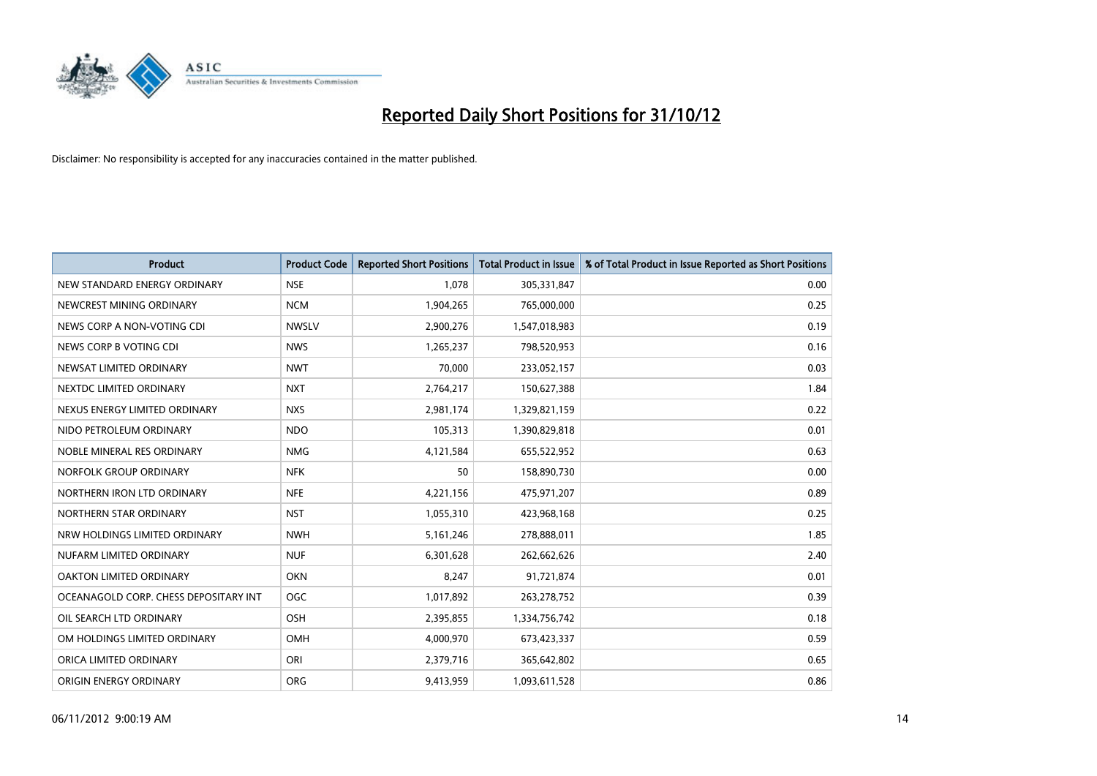

| <b>Product</b>                        | <b>Product Code</b> | <b>Reported Short Positions</b> | <b>Total Product in Issue</b> | % of Total Product in Issue Reported as Short Positions |
|---------------------------------------|---------------------|---------------------------------|-------------------------------|---------------------------------------------------------|
| NEW STANDARD ENERGY ORDINARY          | <b>NSE</b>          | 1,078                           | 305,331,847                   | 0.00                                                    |
| NEWCREST MINING ORDINARY              | <b>NCM</b>          | 1,904,265                       | 765,000,000                   | 0.25                                                    |
| NEWS CORP A NON-VOTING CDI            | <b>NWSLV</b>        | 2,900,276                       | 1,547,018,983                 | 0.19                                                    |
| NEWS CORP B VOTING CDI                | <b>NWS</b>          | 1,265,237                       | 798,520,953                   | 0.16                                                    |
| NEWSAT LIMITED ORDINARY               | <b>NWT</b>          | 70.000                          | 233,052,157                   | 0.03                                                    |
| NEXTDC LIMITED ORDINARY               | <b>NXT</b>          | 2,764,217                       | 150,627,388                   | 1.84                                                    |
| NEXUS ENERGY LIMITED ORDINARY         | <b>NXS</b>          | 2,981,174                       | 1,329,821,159                 | 0.22                                                    |
| NIDO PETROLEUM ORDINARY               | <b>NDO</b>          | 105,313                         | 1,390,829,818                 | 0.01                                                    |
| NOBLE MINERAL RES ORDINARY            | <b>NMG</b>          | 4,121,584                       | 655,522,952                   | 0.63                                                    |
| NORFOLK GROUP ORDINARY                | <b>NFK</b>          | 50                              | 158,890,730                   | 0.00                                                    |
| NORTHERN IRON LTD ORDINARY            | <b>NFE</b>          | 4,221,156                       | 475,971,207                   | 0.89                                                    |
| NORTHERN STAR ORDINARY                | <b>NST</b>          | 1,055,310                       | 423,968,168                   | 0.25                                                    |
| NRW HOLDINGS LIMITED ORDINARY         | <b>NWH</b>          | 5,161,246                       | 278,888,011                   | 1.85                                                    |
| NUFARM LIMITED ORDINARY               | <b>NUF</b>          | 6,301,628                       | 262,662,626                   | 2.40                                                    |
| OAKTON LIMITED ORDINARY               | <b>OKN</b>          | 8,247                           | 91,721,874                    | 0.01                                                    |
| OCEANAGOLD CORP. CHESS DEPOSITARY INT | OGC                 | 1,017,892                       | 263,278,752                   | 0.39                                                    |
| OIL SEARCH LTD ORDINARY               | <b>OSH</b>          | 2,395,855                       | 1,334,756,742                 | 0.18                                                    |
| OM HOLDINGS LIMITED ORDINARY          | OMH                 | 4,000,970                       | 673,423,337                   | 0.59                                                    |
| ORICA LIMITED ORDINARY                | ORI                 | 2,379,716                       | 365,642,802                   | 0.65                                                    |
| ORIGIN ENERGY ORDINARY                | <b>ORG</b>          | 9,413,959                       | 1,093,611,528                 | 0.86                                                    |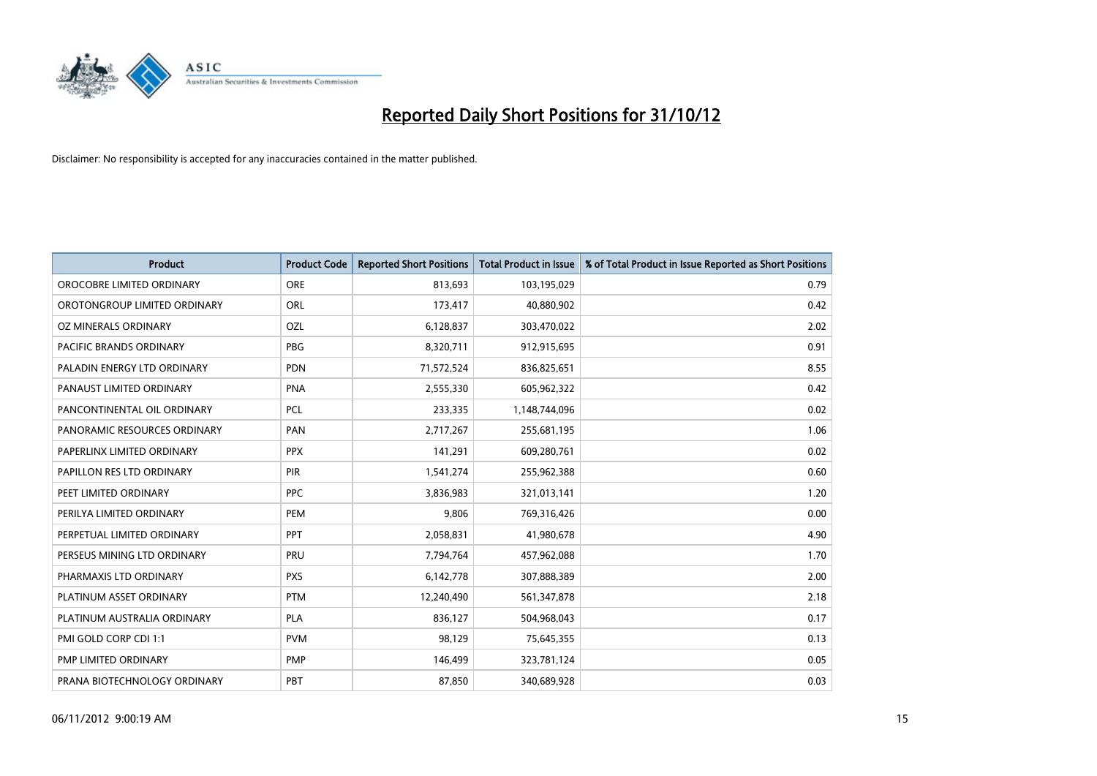

| <b>Product</b>                 | <b>Product Code</b> | <b>Reported Short Positions</b> | <b>Total Product in Issue</b> | % of Total Product in Issue Reported as Short Positions |
|--------------------------------|---------------------|---------------------------------|-------------------------------|---------------------------------------------------------|
| OROCOBRE LIMITED ORDINARY      | <b>ORE</b>          | 813,693                         | 103,195,029                   | 0.79                                                    |
| OROTONGROUP LIMITED ORDINARY   | <b>ORL</b>          | 173,417                         | 40,880,902                    | 0.42                                                    |
| OZ MINERALS ORDINARY           | OZL                 | 6,128,837                       | 303,470,022                   | 2.02                                                    |
| <b>PACIFIC BRANDS ORDINARY</b> | <b>PBG</b>          | 8,320,711                       | 912,915,695                   | 0.91                                                    |
| PALADIN ENERGY LTD ORDINARY    | <b>PDN</b>          | 71,572,524                      | 836,825,651                   | 8.55                                                    |
| PANAUST LIMITED ORDINARY       | <b>PNA</b>          | 2,555,330                       | 605,962,322                   | 0.42                                                    |
| PANCONTINENTAL OIL ORDINARY    | <b>PCL</b>          | 233,335                         | 1,148,744,096                 | 0.02                                                    |
| PANORAMIC RESOURCES ORDINARY   | PAN                 | 2,717,267                       | 255,681,195                   | 1.06                                                    |
| PAPERLINX LIMITED ORDINARY     | <b>PPX</b>          | 141,291                         | 609,280,761                   | 0.02                                                    |
| PAPILLON RES LTD ORDINARY      | <b>PIR</b>          | 1,541,274                       | 255,962,388                   | 0.60                                                    |
| PEET LIMITED ORDINARY          | <b>PPC</b>          | 3,836,983                       | 321,013,141                   | 1.20                                                    |
| PERILYA LIMITED ORDINARY       | PEM                 | 9,806                           | 769,316,426                   | 0.00                                                    |
| PERPETUAL LIMITED ORDINARY     | PPT                 | 2,058,831                       | 41,980,678                    | 4.90                                                    |
| PERSEUS MINING LTD ORDINARY    | PRU                 | 7,794,764                       | 457,962,088                   | 1.70                                                    |
| PHARMAXIS LTD ORDINARY         | <b>PXS</b>          | 6,142,778                       | 307,888,389                   | 2.00                                                    |
| PLATINUM ASSET ORDINARY        | <b>PTM</b>          | 12,240,490                      | 561,347,878                   | 2.18                                                    |
| PLATINUM AUSTRALIA ORDINARY    | <b>PLA</b>          | 836,127                         | 504,968,043                   | 0.17                                                    |
| PMI GOLD CORP CDI 1:1          | <b>PVM</b>          | 98,129                          | 75,645,355                    | 0.13                                                    |
| <b>PMP LIMITED ORDINARY</b>    | <b>PMP</b>          | 146,499                         | 323,781,124                   | 0.05                                                    |
| PRANA BIOTECHNOLOGY ORDINARY   | PBT                 | 87,850                          | 340,689,928                   | 0.03                                                    |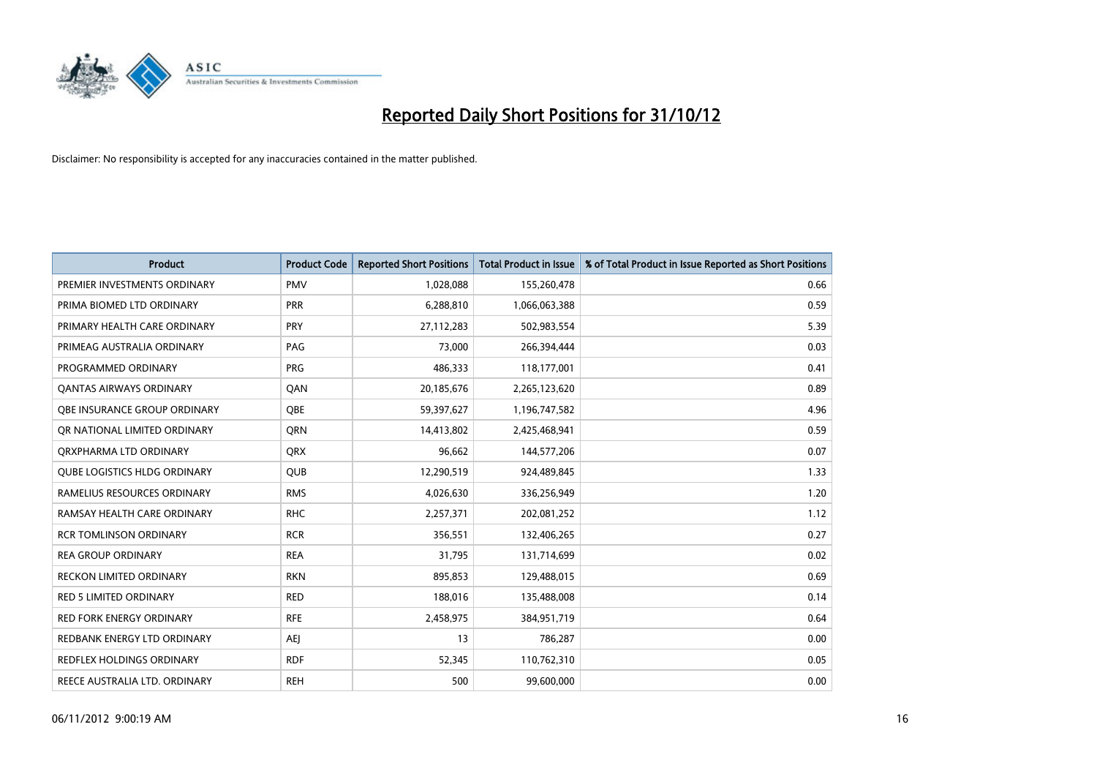

| <b>Product</b>                      | <b>Product Code</b> | <b>Reported Short Positions</b> | <b>Total Product in Issue</b> | % of Total Product in Issue Reported as Short Positions |
|-------------------------------------|---------------------|---------------------------------|-------------------------------|---------------------------------------------------------|
| PREMIER INVESTMENTS ORDINARY        | <b>PMV</b>          | 1,028,088                       | 155,260,478                   | 0.66                                                    |
| PRIMA BIOMED LTD ORDINARY           | <b>PRR</b>          | 6,288,810                       | 1,066,063,388                 | 0.59                                                    |
| PRIMARY HEALTH CARE ORDINARY        | <b>PRY</b>          | 27,112,283                      | 502,983,554                   | 5.39                                                    |
| PRIMEAG AUSTRALIA ORDINARY          | PAG                 | 73,000                          | 266,394,444                   | 0.03                                                    |
| PROGRAMMED ORDINARY                 | <b>PRG</b>          | 486,333                         | 118,177,001                   | 0.41                                                    |
| <b>QANTAS AIRWAYS ORDINARY</b>      | QAN                 | 20,185,676                      | 2,265,123,620                 | 0.89                                                    |
| OBE INSURANCE GROUP ORDINARY        | <b>OBE</b>          | 59,397,627                      | 1,196,747,582                 | 4.96                                                    |
| OR NATIONAL LIMITED ORDINARY        | <b>ORN</b>          | 14,413,802                      | 2,425,468,941                 | 0.59                                                    |
| ORXPHARMA LTD ORDINARY              | <b>ORX</b>          | 96,662                          | 144,577,206                   | 0.07                                                    |
| <b>QUBE LOGISTICS HLDG ORDINARY</b> | <b>QUB</b>          | 12,290,519                      | 924,489,845                   | 1.33                                                    |
| RAMELIUS RESOURCES ORDINARY         | <b>RMS</b>          | 4,026,630                       | 336,256,949                   | 1.20                                                    |
| RAMSAY HEALTH CARE ORDINARY         | <b>RHC</b>          | 2,257,371                       | 202,081,252                   | 1.12                                                    |
| <b>RCR TOMLINSON ORDINARY</b>       | <b>RCR</b>          | 356,551                         | 132,406,265                   | 0.27                                                    |
| <b>REA GROUP ORDINARY</b>           | <b>REA</b>          | 31,795                          | 131,714,699                   | 0.02                                                    |
| <b>RECKON LIMITED ORDINARY</b>      | <b>RKN</b>          | 895,853                         | 129,488,015                   | 0.69                                                    |
| RED 5 LIMITED ORDINARY              | <b>RED</b>          | 188,016                         | 135,488,008                   | 0.14                                                    |
| RED FORK ENERGY ORDINARY            | <b>RFE</b>          | 2,458,975                       | 384,951,719                   | 0.64                                                    |
| REDBANK ENERGY LTD ORDINARY         | AEJ                 | 13                              | 786,287                       | 0.00                                                    |
| <b>REDFLEX HOLDINGS ORDINARY</b>    | <b>RDF</b>          | 52,345                          | 110,762,310                   | 0.05                                                    |
| REECE AUSTRALIA LTD. ORDINARY       | <b>REH</b>          | 500                             | 99,600,000                    | 0.00                                                    |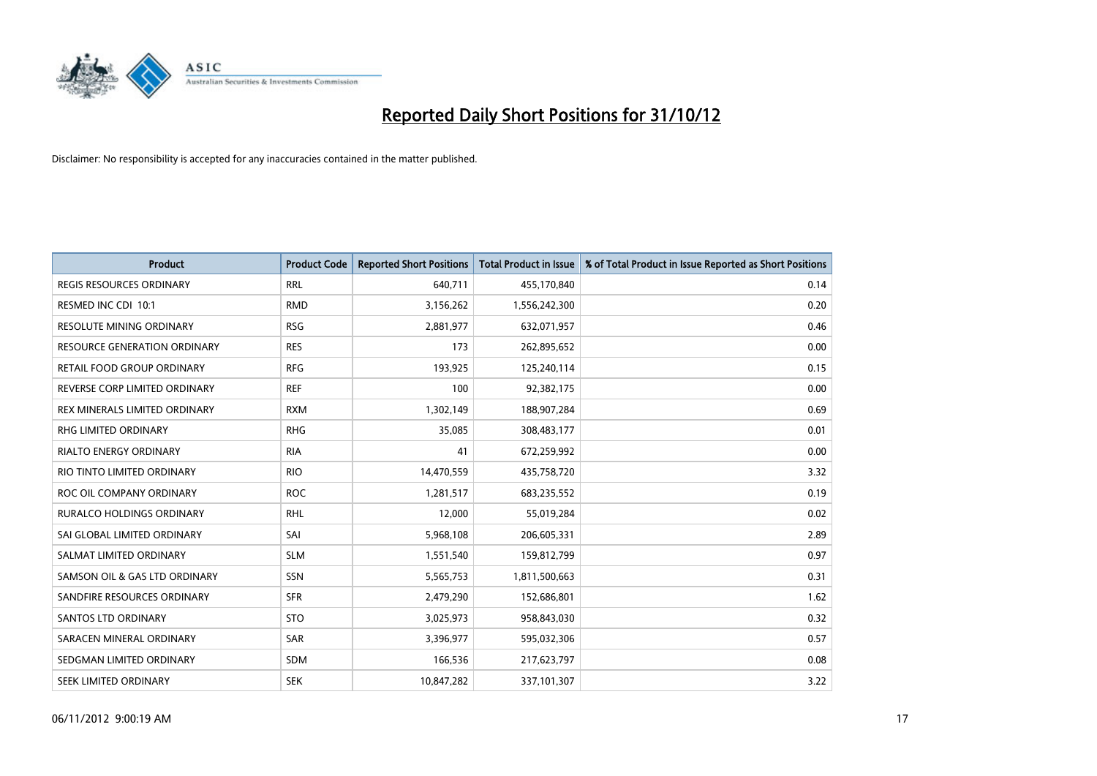

| <b>Product</b>                   | <b>Product Code</b> | <b>Reported Short Positions</b> | <b>Total Product in Issue</b> | % of Total Product in Issue Reported as Short Positions |
|----------------------------------|---------------------|---------------------------------|-------------------------------|---------------------------------------------------------|
| <b>REGIS RESOURCES ORDINARY</b>  | <b>RRL</b>          | 640,711                         | 455,170,840                   | 0.14                                                    |
| RESMED INC CDI 10:1              | <b>RMD</b>          | 3,156,262                       | 1,556,242,300                 | 0.20                                                    |
| <b>RESOLUTE MINING ORDINARY</b>  | <b>RSG</b>          | 2,881,977                       | 632,071,957                   | 0.46                                                    |
| RESOURCE GENERATION ORDINARY     | <b>RES</b>          | 173                             | 262,895,652                   | 0.00                                                    |
| RETAIL FOOD GROUP ORDINARY       | <b>RFG</b>          | 193,925                         | 125,240,114                   | 0.15                                                    |
| REVERSE CORP LIMITED ORDINARY    | <b>REF</b>          | 100                             | 92,382,175                    | 0.00                                                    |
| REX MINERALS LIMITED ORDINARY    | <b>RXM</b>          | 1,302,149                       | 188,907,284                   | 0.69                                                    |
| <b>RHG LIMITED ORDINARY</b>      | <b>RHG</b>          | 35,085                          | 308,483,177                   | 0.01                                                    |
| <b>RIALTO ENERGY ORDINARY</b>    | <b>RIA</b>          | 41                              | 672,259,992                   | 0.00                                                    |
| RIO TINTO LIMITED ORDINARY       | <b>RIO</b>          | 14,470,559                      | 435,758,720                   | 3.32                                                    |
| ROC OIL COMPANY ORDINARY         | <b>ROC</b>          | 1,281,517                       | 683,235,552                   | 0.19                                                    |
| <b>RURALCO HOLDINGS ORDINARY</b> | <b>RHL</b>          | 12,000                          | 55,019,284                    | 0.02                                                    |
| SAI GLOBAL LIMITED ORDINARY      | SAI                 | 5,968,108                       | 206,605,331                   | 2.89                                                    |
| SALMAT LIMITED ORDINARY          | <b>SLM</b>          | 1,551,540                       | 159,812,799                   | 0.97                                                    |
| SAMSON OIL & GAS LTD ORDINARY    | SSN                 | 5,565,753                       | 1,811,500,663                 | 0.31                                                    |
| SANDFIRE RESOURCES ORDINARY      | <b>SFR</b>          | 2,479,290                       | 152,686,801                   | 1.62                                                    |
| SANTOS LTD ORDINARY              | <b>STO</b>          | 3,025,973                       | 958,843,030                   | 0.32                                                    |
| SARACEN MINERAL ORDINARY         | SAR                 | 3,396,977                       | 595,032,306                   | 0.57                                                    |
| SEDGMAN LIMITED ORDINARY         | <b>SDM</b>          | 166,536                         | 217,623,797                   | 0.08                                                    |
| SEEK LIMITED ORDINARY            | <b>SEK</b>          | 10,847,282                      | 337,101,307                   | 3.22                                                    |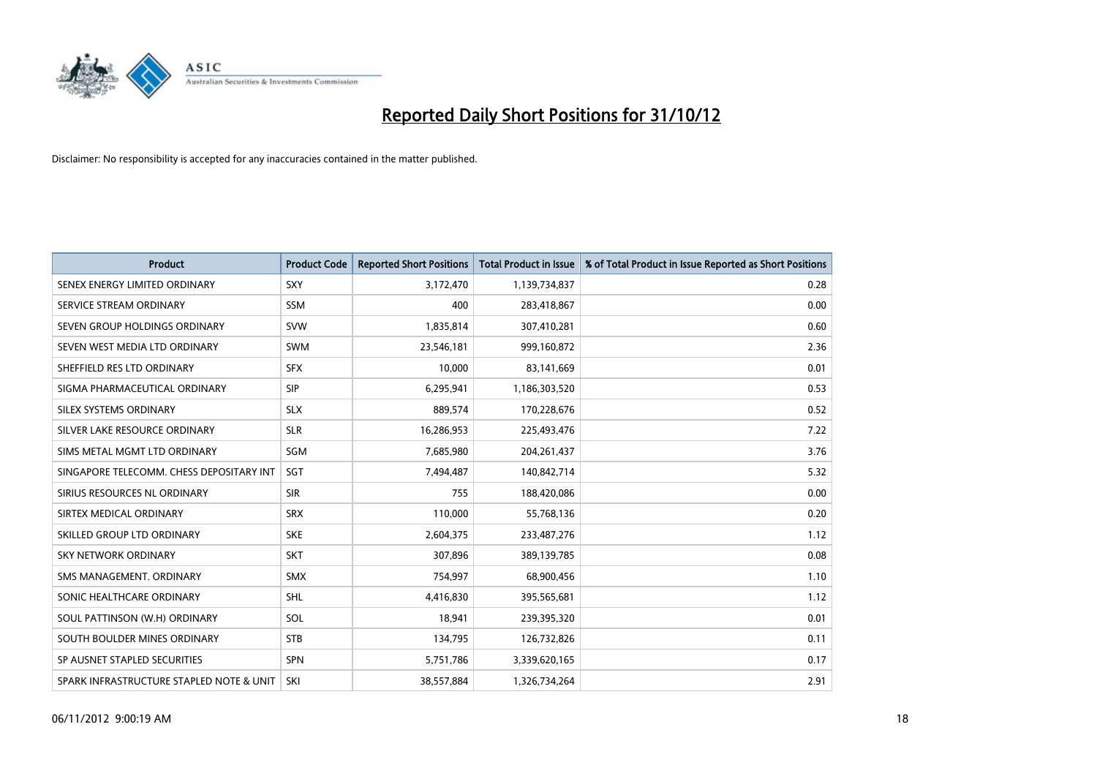

| <b>Product</b>                           | <b>Product Code</b> | <b>Reported Short Positions</b> | <b>Total Product in Issue</b> | % of Total Product in Issue Reported as Short Positions |
|------------------------------------------|---------------------|---------------------------------|-------------------------------|---------------------------------------------------------|
| SENEX ENERGY LIMITED ORDINARY            | <b>SXY</b>          | 3,172,470                       | 1,139,734,837                 | 0.28                                                    |
| SERVICE STREAM ORDINARY                  | <b>SSM</b>          | 400                             | 283,418,867                   | 0.00                                                    |
| SEVEN GROUP HOLDINGS ORDINARY            | <b>SVW</b>          | 1,835,814                       | 307,410,281                   | 0.60                                                    |
| SEVEN WEST MEDIA LTD ORDINARY            | <b>SWM</b>          | 23,546,181                      | 999,160,872                   | 2.36                                                    |
| SHEFFIELD RES LTD ORDINARY               | <b>SFX</b>          | 10,000                          | 83,141,669                    | 0.01                                                    |
| SIGMA PHARMACEUTICAL ORDINARY            | <b>SIP</b>          | 6,295,941                       | 1,186,303,520                 | 0.53                                                    |
| SILEX SYSTEMS ORDINARY                   | <b>SLX</b>          | 889,574                         | 170,228,676                   | 0.52                                                    |
| SILVER LAKE RESOURCE ORDINARY            | <b>SLR</b>          | 16,286,953                      | 225,493,476                   | 7.22                                                    |
| SIMS METAL MGMT LTD ORDINARY             | SGM                 | 7,685,980                       | 204, 261, 437                 | 3.76                                                    |
| SINGAPORE TELECOMM. CHESS DEPOSITARY INT | SGT                 | 7,494,487                       | 140,842,714                   | 5.32                                                    |
| SIRIUS RESOURCES NL ORDINARY             | <b>SIR</b>          | 755                             | 188,420,086                   | 0.00                                                    |
| SIRTEX MEDICAL ORDINARY                  | <b>SRX</b>          | 110,000                         | 55,768,136                    | 0.20                                                    |
| SKILLED GROUP LTD ORDINARY               | <b>SKE</b>          | 2,604,375                       | 233,487,276                   | 1.12                                                    |
| <b>SKY NETWORK ORDINARY</b>              | <b>SKT</b>          | 307,896                         | 389,139,785                   | 0.08                                                    |
| SMS MANAGEMENT, ORDINARY                 | <b>SMX</b>          | 754,997                         | 68,900,456                    | 1.10                                                    |
| SONIC HEALTHCARE ORDINARY                | <b>SHL</b>          | 4,416,830                       | 395,565,681                   | 1.12                                                    |
| SOUL PATTINSON (W.H) ORDINARY            | SOL                 | 18,941                          | 239,395,320                   | 0.01                                                    |
| SOUTH BOULDER MINES ORDINARY             | <b>STB</b>          | 134,795                         | 126,732,826                   | 0.11                                                    |
| SP AUSNET STAPLED SECURITIES             | <b>SPN</b>          | 5,751,786                       | 3,339,620,165                 | 0.17                                                    |
| SPARK INFRASTRUCTURE STAPLED NOTE & UNIT | SKI                 | 38,557,884                      | 1,326,734,264                 | 2.91                                                    |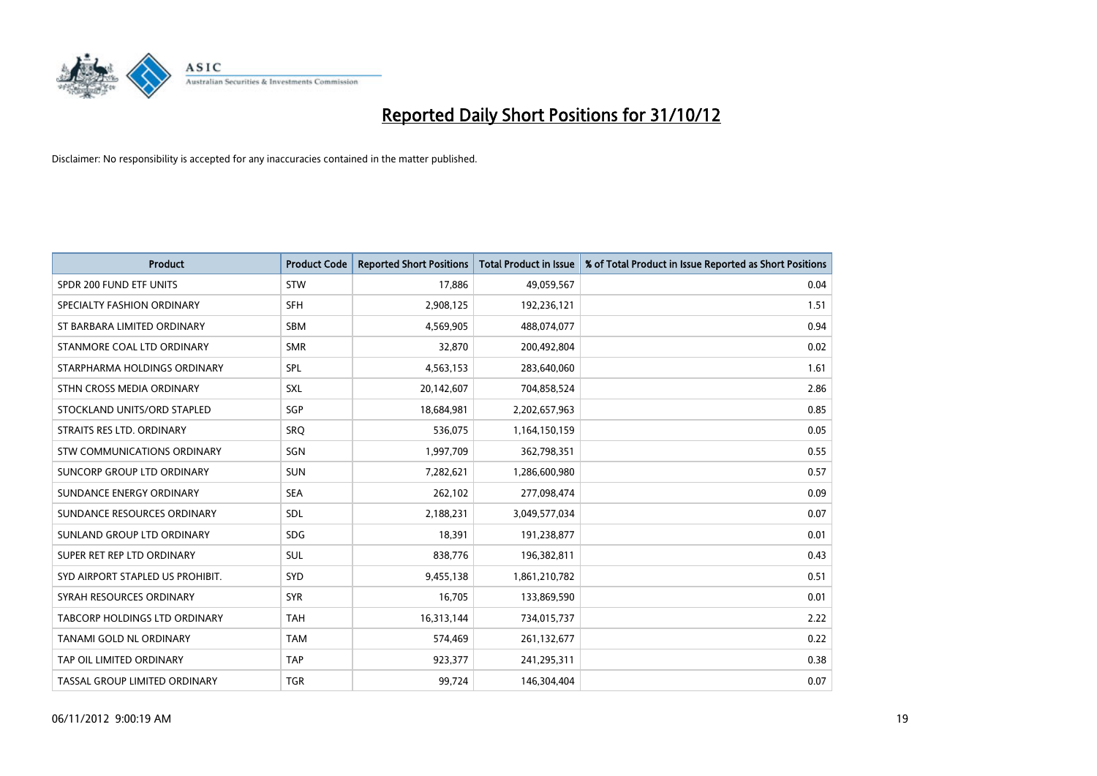

| <b>Product</b>                   | <b>Product Code</b> | <b>Reported Short Positions</b> | <b>Total Product in Issue</b> | % of Total Product in Issue Reported as Short Positions |
|----------------------------------|---------------------|---------------------------------|-------------------------------|---------------------------------------------------------|
| SPDR 200 FUND ETF UNITS          | <b>STW</b>          | 17,886                          | 49,059,567                    | 0.04                                                    |
| SPECIALTY FASHION ORDINARY       | <b>SFH</b>          | 2,908,125                       | 192,236,121                   | 1.51                                                    |
| ST BARBARA LIMITED ORDINARY      | <b>SBM</b>          | 4,569,905                       | 488,074,077                   | 0.94                                                    |
| STANMORE COAL LTD ORDINARY       | <b>SMR</b>          | 32,870                          | 200,492,804                   | 0.02                                                    |
| STARPHARMA HOLDINGS ORDINARY     | <b>SPL</b>          | 4,563,153                       | 283,640,060                   | 1.61                                                    |
| STHN CROSS MEDIA ORDINARY        | <b>SXL</b>          | 20,142,607                      | 704,858,524                   | 2.86                                                    |
| STOCKLAND UNITS/ORD STAPLED      | <b>SGP</b>          | 18,684,981                      | 2,202,657,963                 | 0.85                                                    |
| STRAITS RES LTD. ORDINARY        | SRO                 | 536,075                         | 1,164,150,159                 | 0.05                                                    |
| STW COMMUNICATIONS ORDINARY      | SGN                 | 1,997,709                       | 362,798,351                   | 0.55                                                    |
| SUNCORP GROUP LTD ORDINARY       | <b>SUN</b>          | 7,282,621                       | 1,286,600,980                 | 0.57                                                    |
| SUNDANCE ENERGY ORDINARY         | <b>SEA</b>          | 262,102                         | 277,098,474                   | 0.09                                                    |
| SUNDANCE RESOURCES ORDINARY      | <b>SDL</b>          | 2,188,231                       | 3,049,577,034                 | 0.07                                                    |
| SUNLAND GROUP LTD ORDINARY       | <b>SDG</b>          | 18,391                          | 191,238,877                   | 0.01                                                    |
| SUPER RET REP LTD ORDINARY       | <b>SUL</b>          | 838,776                         | 196,382,811                   | 0.43                                                    |
| SYD AIRPORT STAPLED US PROHIBIT. | <b>SYD</b>          | 9,455,138                       | 1,861,210,782                 | 0.51                                                    |
| SYRAH RESOURCES ORDINARY         | <b>SYR</b>          | 16,705                          | 133,869,590                   | 0.01                                                    |
| TABCORP HOLDINGS LTD ORDINARY    | <b>TAH</b>          | 16,313,144                      | 734,015,737                   | 2.22                                                    |
| <b>TANAMI GOLD NL ORDINARY</b>   | <b>TAM</b>          | 574,469                         | 261,132,677                   | 0.22                                                    |
| TAP OIL LIMITED ORDINARY         | <b>TAP</b>          | 923,377                         | 241,295,311                   | 0.38                                                    |
| TASSAL GROUP LIMITED ORDINARY    | <b>TGR</b>          | 99,724                          | 146,304,404                   | 0.07                                                    |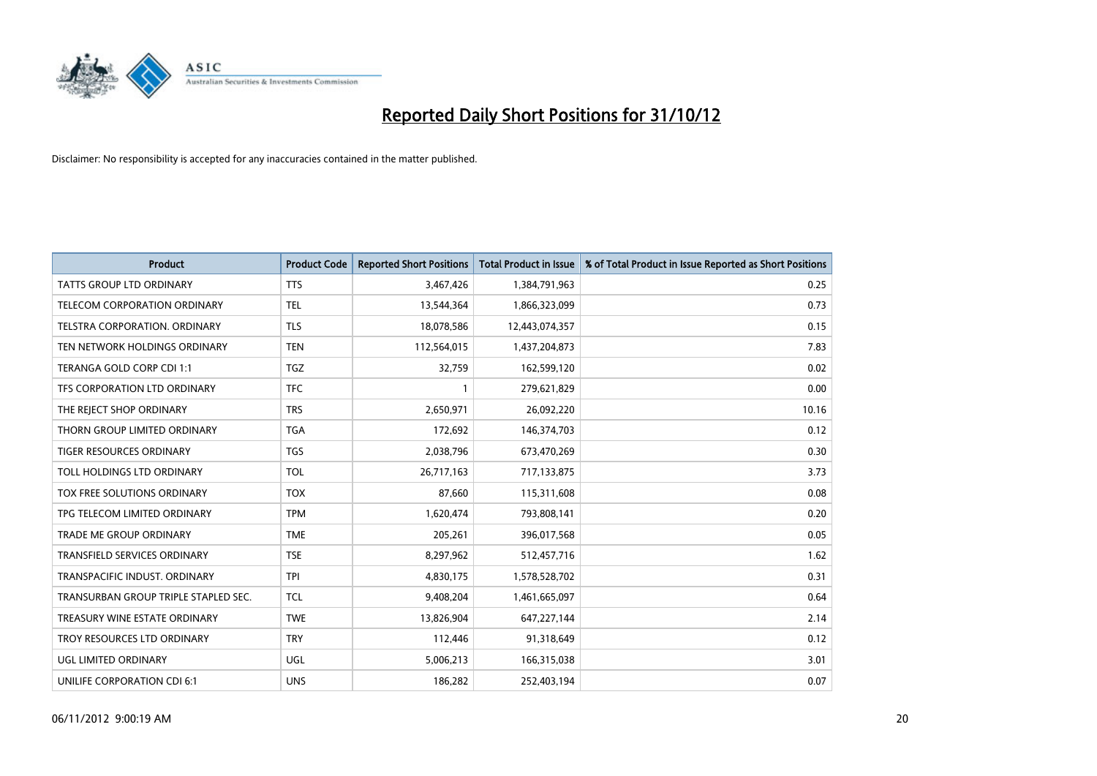

| <b>Product</b>                       | <b>Product Code</b> | <b>Reported Short Positions</b> | <b>Total Product in Issue</b> | % of Total Product in Issue Reported as Short Positions |
|--------------------------------------|---------------------|---------------------------------|-------------------------------|---------------------------------------------------------|
| <b>TATTS GROUP LTD ORDINARY</b>      | <b>TTS</b>          | 3,467,426                       | 1,384,791,963                 | 0.25                                                    |
| TELECOM CORPORATION ORDINARY         | <b>TEL</b>          | 13,544,364                      | 1,866,323,099                 | 0.73                                                    |
| <b>TELSTRA CORPORATION, ORDINARY</b> | <b>TLS</b>          | 18,078,586                      | 12,443,074,357                | 0.15                                                    |
| TEN NETWORK HOLDINGS ORDINARY        | <b>TEN</b>          | 112,564,015                     | 1,437,204,873                 | 7.83                                                    |
| TERANGA GOLD CORP CDI 1:1            | <b>TGZ</b>          | 32,759                          | 162,599,120                   | 0.02                                                    |
| TFS CORPORATION LTD ORDINARY         | <b>TFC</b>          |                                 | 279,621,829                   | 0.00                                                    |
| THE REJECT SHOP ORDINARY             | <b>TRS</b>          | 2,650,971                       | 26,092,220                    | 10.16                                                   |
| THORN GROUP LIMITED ORDINARY         | <b>TGA</b>          | 172,692                         | 146,374,703                   | 0.12                                                    |
| TIGER RESOURCES ORDINARY             | <b>TGS</b>          | 2,038,796                       | 673,470,269                   | 0.30                                                    |
| TOLL HOLDINGS LTD ORDINARY           | <b>TOL</b>          | 26,717,163                      | 717,133,875                   | 3.73                                                    |
| TOX FREE SOLUTIONS ORDINARY          | <b>TOX</b>          | 87,660                          | 115,311,608                   | 0.08                                                    |
| TPG TELECOM LIMITED ORDINARY         | <b>TPM</b>          | 1,620,474                       | 793,808,141                   | 0.20                                                    |
| <b>TRADE ME GROUP ORDINARY</b>       | <b>TME</b>          | 205,261                         | 396,017,568                   | 0.05                                                    |
| <b>TRANSFIELD SERVICES ORDINARY</b>  | <b>TSE</b>          | 8,297,962                       | 512,457,716                   | 1.62                                                    |
| TRANSPACIFIC INDUST, ORDINARY        | <b>TPI</b>          | 4,830,175                       | 1,578,528,702                 | 0.31                                                    |
| TRANSURBAN GROUP TRIPLE STAPLED SEC. | <b>TCL</b>          | 9,408,204                       | 1,461,665,097                 | 0.64                                                    |
| TREASURY WINE ESTATE ORDINARY        | <b>TWE</b>          | 13,826,904                      | 647,227,144                   | 2.14                                                    |
| TROY RESOURCES LTD ORDINARY          | <b>TRY</b>          | 112,446                         | 91,318,649                    | 0.12                                                    |
| UGL LIMITED ORDINARY                 | UGL                 | 5,006,213                       | 166,315,038                   | 3.01                                                    |
| UNILIFE CORPORATION CDI 6:1          | <b>UNS</b>          | 186,282                         | 252,403,194                   | 0.07                                                    |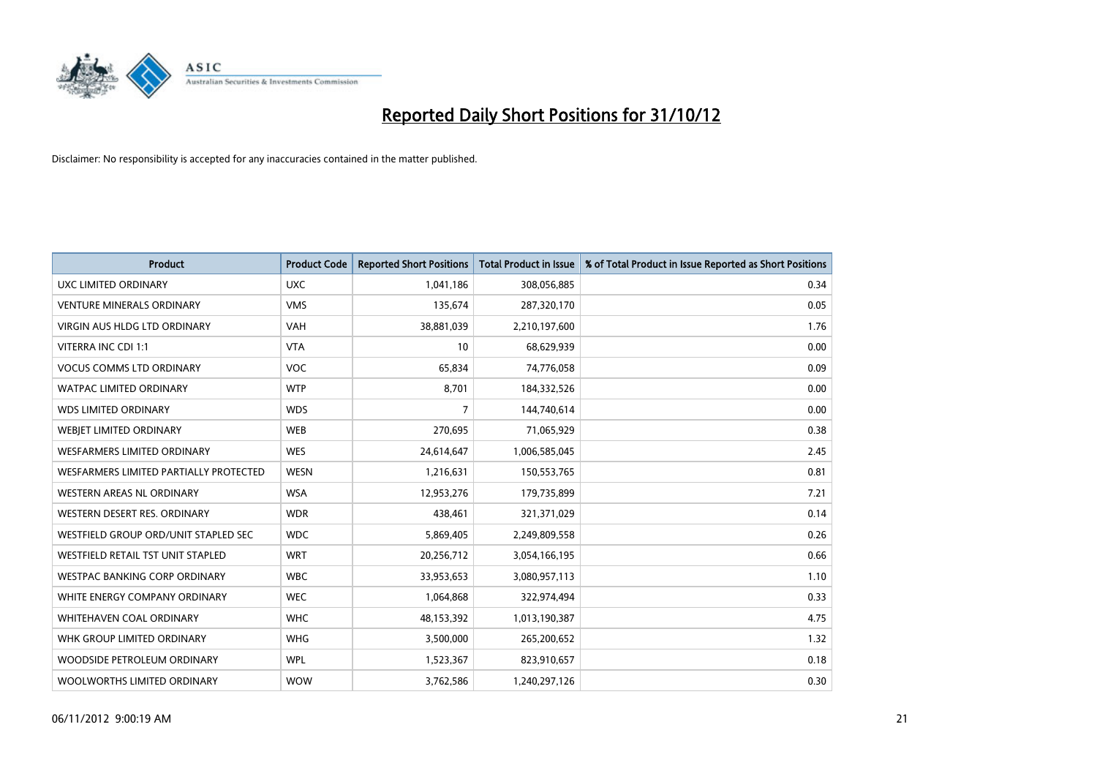

| <b>Product</b>                         | <b>Product Code</b> | <b>Reported Short Positions</b> | <b>Total Product in Issue</b> | % of Total Product in Issue Reported as Short Positions |
|----------------------------------------|---------------------|---------------------------------|-------------------------------|---------------------------------------------------------|
| <b>UXC LIMITED ORDINARY</b>            | <b>UXC</b>          | 1,041,186                       | 308,056,885                   | 0.34                                                    |
| <b>VENTURE MINERALS ORDINARY</b>       | <b>VMS</b>          | 135,674                         | 287,320,170                   | 0.05                                                    |
| <b>VIRGIN AUS HLDG LTD ORDINARY</b>    | <b>VAH</b>          | 38,881,039                      | 2,210,197,600                 | 1.76                                                    |
| VITERRA INC CDI 1:1                    | <b>VTA</b>          | 10                              | 68,629,939                    | 0.00                                                    |
| <b>VOCUS COMMS LTD ORDINARY</b>        | VOC                 | 65,834                          | 74,776,058                    | 0.09                                                    |
| <b>WATPAC LIMITED ORDINARY</b>         | <b>WTP</b>          | 8,701                           | 184,332,526                   | 0.00                                                    |
| <b>WDS LIMITED ORDINARY</b>            | <b>WDS</b>          | 7                               | 144,740,614                   | 0.00                                                    |
| WEBIET LIMITED ORDINARY                | <b>WEB</b>          | 270,695                         | 71,065,929                    | 0.38                                                    |
| <b>WESFARMERS LIMITED ORDINARY</b>     | <b>WES</b>          | 24,614,647                      | 1,006,585,045                 | 2.45                                                    |
| WESFARMERS LIMITED PARTIALLY PROTECTED | <b>WESN</b>         | 1,216,631                       | 150,553,765                   | 0.81                                                    |
| WESTERN AREAS NL ORDINARY              | <b>WSA</b>          | 12,953,276                      | 179,735,899                   | 7.21                                                    |
| WESTERN DESERT RES. ORDINARY           | <b>WDR</b>          | 438,461                         | 321,371,029                   | 0.14                                                    |
| WESTFIELD GROUP ORD/UNIT STAPLED SEC   | <b>WDC</b>          | 5,869,405                       | 2,249,809,558                 | 0.26                                                    |
| WESTFIELD RETAIL TST UNIT STAPLED      | <b>WRT</b>          | 20,256,712                      | 3,054,166,195                 | 0.66                                                    |
| <b>WESTPAC BANKING CORP ORDINARY</b>   | <b>WBC</b>          | 33,953,653                      | 3,080,957,113                 | 1.10                                                    |
| WHITE ENERGY COMPANY ORDINARY          | <b>WEC</b>          | 1,064,868                       | 322,974,494                   | 0.33                                                    |
| WHITEHAVEN COAL ORDINARY               | <b>WHC</b>          | 48,153,392                      | 1,013,190,387                 | 4.75                                                    |
| WHK GROUP LIMITED ORDINARY             | <b>WHG</b>          | 3,500,000                       | 265,200,652                   | 1.32                                                    |
| WOODSIDE PETROLEUM ORDINARY            | <b>WPL</b>          | 1,523,367                       | 823,910,657                   | 0.18                                                    |
| WOOLWORTHS LIMITED ORDINARY            | <b>WOW</b>          | 3,762,586                       | 1,240,297,126                 | 0.30                                                    |